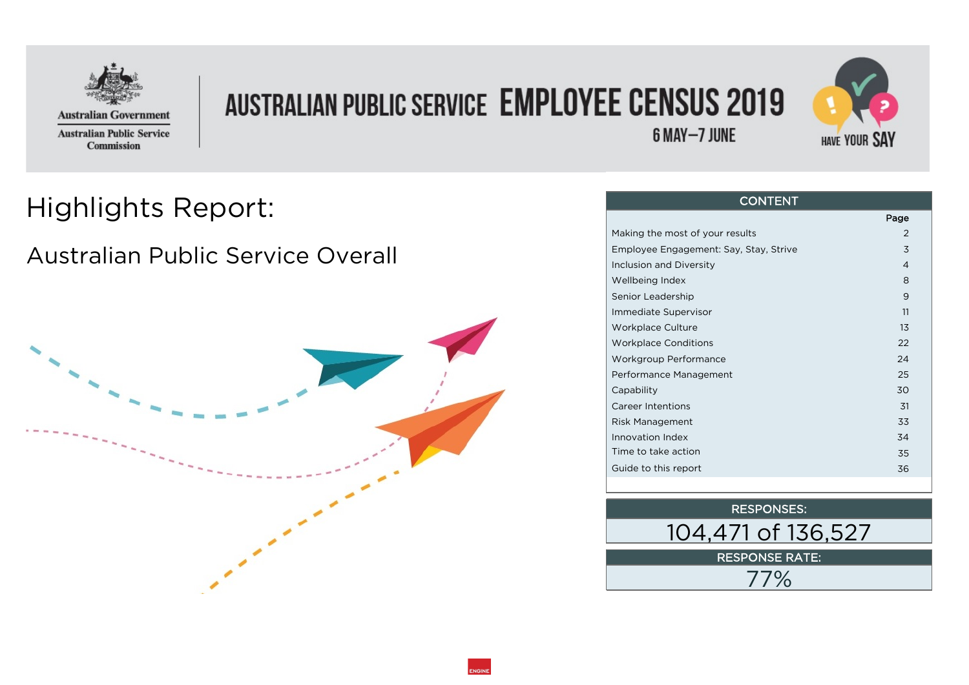

## **AUSTRALIAN PUBLIC SERVICE EMPLOYEE CENSUS 2019**



#### 6 MAY-7 JUNE

#### Highlights Report:

#### Australian Public Service Overall



#### **CONTENT**

|                                        | Page |  |
|----------------------------------------|------|--|
| Making the most of your results        | 2    |  |
| Employee Engagement: Say, Stay, Strive | 3    |  |
| Inclusion and Diversity                | 4    |  |
| Wellbeing Index                        | 8    |  |
| Senior Leadership                      | 9    |  |
| Immediate Supervisor                   | 11   |  |
| Workplace Culture                      | 13   |  |
| <b>Workplace Conditions</b>            | 22   |  |
| Workgroup Performance                  | 24   |  |
| Performance Management                 | 25   |  |
| Capability                             | 30   |  |
| <b>Career Intentions</b>               | .31  |  |
| Risk Management                        | 33   |  |
| Innovation Index                       | 34   |  |
| Time to take action                    | 35   |  |
| Guide to this report                   | 36   |  |
|                                        |      |  |

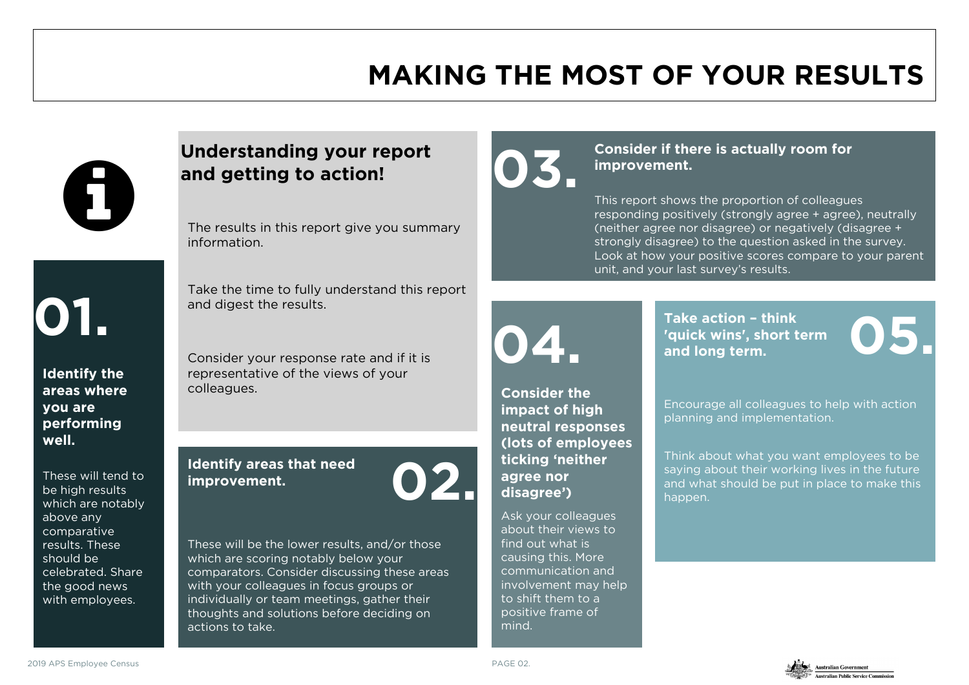### **MAKING THE MOST OF YOUR RESULTS**



# **01.**

**Identify the areas where you are performing well.** 

These will tend to be high results which are notably above any comparative results. These should be celebrated. Share the good news with employees.

#### **Understanding your report and getting to action!**

The results in this report give you summary information.

Take the time to fully understand this report and digest the results.

Consider your response rate and if it is representative of the views of your colleagues.

#### **Identify areas that need improvement. 02.**



These will be the lower results, and/or those which are scoring notably below your comparators. Consider discussing these areas with your colleagues in focus groups or individually or team meetings, gather their thoughts and solutions before deciding on actions to take.



**Consider if there is actually room for**<br> **Consider if there is actually room for improvement.** 

> This report shows the proportion of colleagues responding positively (strongly agree + agree), neutrally (neither agree nor disagree) or negatively (disagree + strongly disagree) to the question asked in the survey. Look at how your positive scores compare to your parent unit, and your last survey's results.

## **04.**

**Take action – think 'quick wins', short term**  Take action - think<br>'quick wins', short term<br>and long term.

**Consider the impact of high neutral responses (lots of employees ticking 'neither agree nor disagree')** 

Ask your colleagues about their views to find out what is causing this. More communication and involvement may help to shift them to a positive frame of mind.

Encourage all colleagues to help with action planning and implementation.

Think about what you want employees to be saying about their working lives in the future and what should be put in place to make this happen.



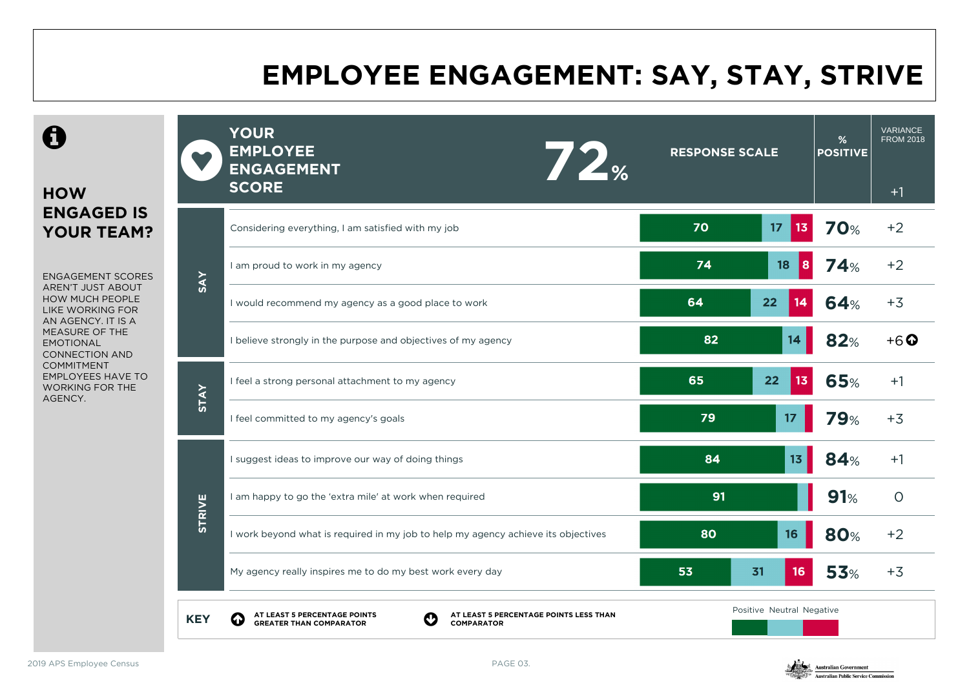### **EMPLOYEE ENGAGEMENT: SAY, STAY, STRIVE**

 $\mathbf \Theta$ 

#### **HOW ENGAGED IS YOUR TEAM?**

ENGAGEMENT SCORES AREN'T JUST ABOUT HOW MUCH PEOPLE LIKE WORKING FOR AN AGENCY. IT IS A MEASURE OF THE EMOTIONAL CONNECTION AND COMMITMENT EMPLOYEES HAVE TO WORKING FOR THE AGENCY.

|               | <b>YOUR</b><br><b>EMPLOYEE</b><br>72 <sub><br/><b>ENGAGEMENT</b><br/><b>SCORE</b></sub>                                | <b>RESPONSE SCALE</b>     |    | %<br><b>POSITIVE</b> | <b>VARIANCE</b><br><b>FROM 2018</b><br>$+1$ |
|---------------|------------------------------------------------------------------------------------------------------------------------|---------------------------|----|----------------------|---------------------------------------------|
|               | Considering everything, I am satisfied with my job                                                                     | 70<br>17                  | 13 | 70%                  | $+2$                                        |
| <b>SAY</b>    | I am proud to work in my agency                                                                                        | 74<br>18                  | 8  | <b>74%</b>           | $+2$                                        |
|               | I would recommend my agency as a good place to work                                                                    | 64<br>22                  | 14 | 64%                  | $+3$                                        |
|               | I believe strongly in the purpose and objectives of my agency                                                          | 82                        | 14 | 82%                  | $+6$ $\Omega$                               |
| <b>STAY</b>   | I feel a strong personal attachment to my agency                                                                       | 65<br>22                  | 13 | 65%                  | $+1$                                        |
|               | I feel committed to my agency's goals                                                                                  | 79                        | 17 | 79%                  | $+3$                                        |
|               | I suggest ideas to improve our way of doing things                                                                     | 84                        | 13 | <b>84%</b>           | $+1$                                        |
| <b>STRIVE</b> | I am happy to go the 'extra mile' at work when required                                                                | 91                        |    | 91%                  | $\circ$                                     |
|               | I work beyond what is required in my job to help my agency achieve its objectives                                      | 80                        | 16 | <b>80%</b>           | $+2$                                        |
|               | My agency really inspires me to do my best work every day                                                              | 53<br>31                  | 16 | <b>53%</b>           | $+3$                                        |
| <b>KEY</b>    | AT LEAST 5 PERCENTAGE POINTS<br>GREATER THAN COMPARATOR<br>AT LEAST 5 PERCENTAGE POINTS LESS THAN<br><b>COMPARATOR</b> | Positive Neutral Negative |    |                      |                                             |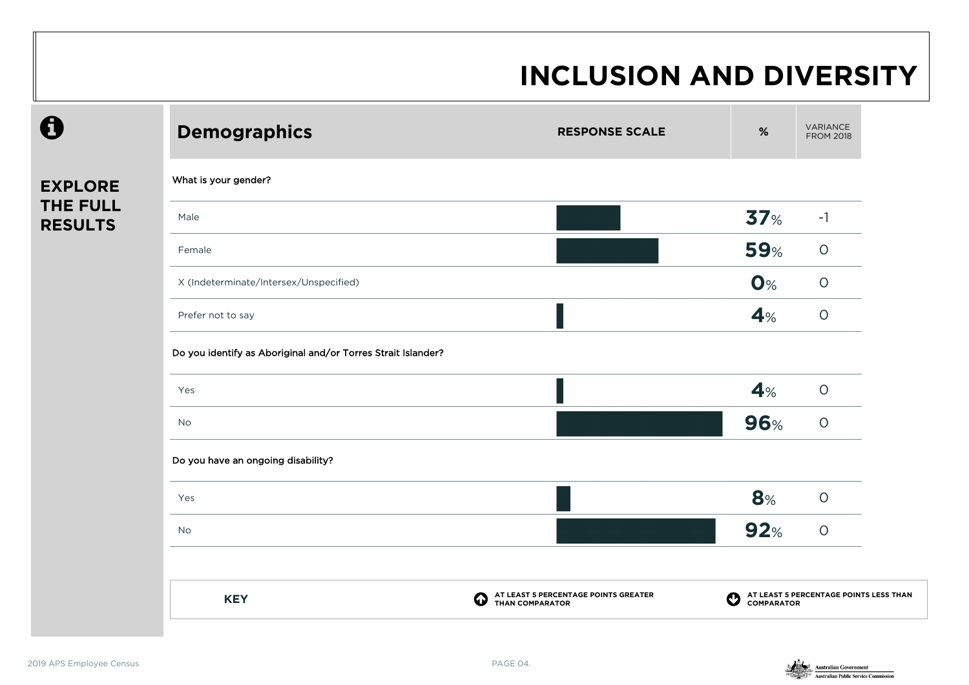| 0                                 | <b>Demographics</b>                                          | <b>RESPONSE SCALE</b>                                                       | $\%$                      | VARIANCE<br><b>FROM 2018</b>                         |
|-----------------------------------|--------------------------------------------------------------|-----------------------------------------------------------------------------|---------------------------|------------------------------------------------------|
| <b>EXPLORE</b>                    | What is your gender?                                         |                                                                             |                           |                                                      |
| <b>THE FULL</b><br><b>RESULTS</b> | Male                                                         |                                                                             | 37 <sub>%</sub>           | $-1$                                                 |
|                                   | Female                                                       |                                                                             | <b>59%</b>                | $\circ$                                              |
|                                   | X (Indeterminate/Intersex/Unspecified)                       |                                                                             | $O\%$                     | $\bigcirc$                                           |
|                                   | Prefer not to say                                            |                                                                             | 4%                        | $\bigcirc$                                           |
|                                   | Do you identify as Aboriginal and/or Torres Strait Islander? |                                                                             |                           |                                                      |
|                                   | Yes                                                          |                                                                             | 4%                        | $\circ$                                              |
|                                   | No                                                           |                                                                             | 96%                       | $\circ$                                              |
|                                   | Do you have an ongoing disability?                           |                                                                             |                           |                                                      |
|                                   | Yes                                                          |                                                                             | 8%                        | $\circ$                                              |
|                                   | No                                                           |                                                                             | 92%                       | $\circ$                                              |
|                                   | <b>KEY</b>                                                   | AT LEAST 5 PERCENTAGE POINTS GREATER<br>THAN COMPARATOR<br>$\bf \bm \omega$ | $\boldsymbol{\mathrm{o}}$ | AT LEAST 5 PERCENTAGE POINTS LESS THAN<br>COMPARATOR |

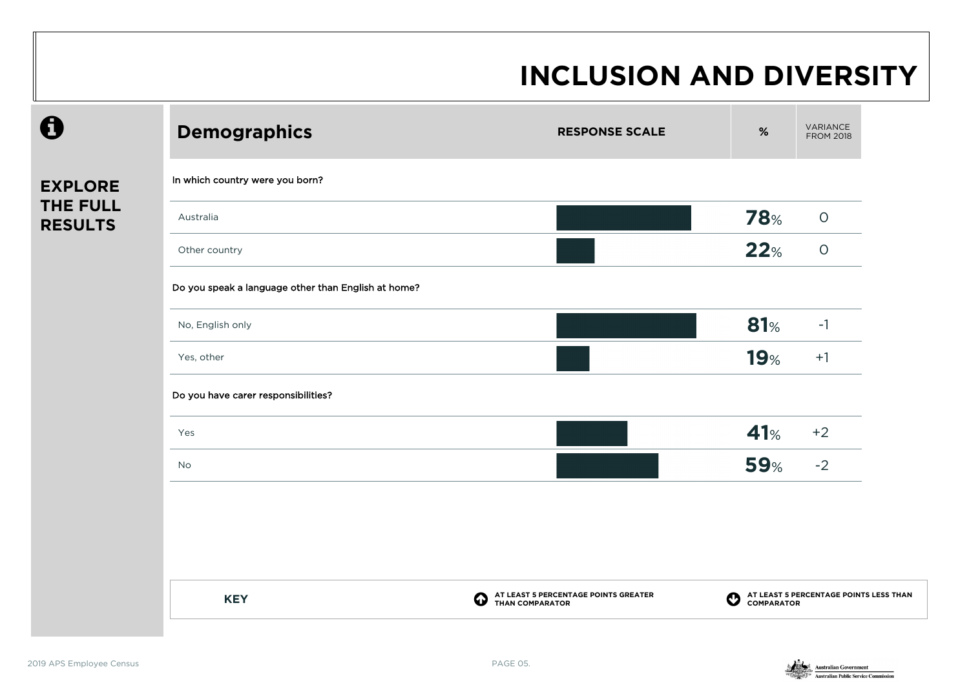|                            | <b>Demographics</b>                                 | <b>RESPONSE SCALE</b>                                               | $\%$                  | VARIANCE<br><b>FROM 2018</b>                         |
|----------------------------|-----------------------------------------------------|---------------------------------------------------------------------|-----------------------|------------------------------------------------------|
| <b>EXPLORE</b>             | In which country were you born?                     |                                                                     |                       |                                                      |
| THE FULL<br><b>RESULTS</b> | Australia                                           |                                                                     | <b>78%</b>            | $\bigcirc$                                           |
|                            | Other country                                       |                                                                     | 22%                   | $\circ$                                              |
|                            | Do you speak a language other than English at home? |                                                                     |                       |                                                      |
|                            | No, English only                                    |                                                                     | 81%                   | $-1$                                                 |
|                            | Yes, other                                          |                                                                     | <b>19%</b>            | $+1$                                                 |
|                            | Do you have carer responsibilities?                 |                                                                     |                       |                                                      |
|                            | Yes                                                 |                                                                     | 41%                   | $+2$                                                 |
|                            | No                                                  |                                                                     | <b>59%</b>            | $-2$                                                 |
|                            |                                                     |                                                                     |                       |                                                      |
|                            |                                                     |                                                                     |                       |                                                      |
|                            |                                                     |                                                                     |                       |                                                      |
|                            | <b>KEY</b>                                          | AT LEAST 5 PERCENTAGE POINTS GREATER<br>➊<br><b>THAN COMPARATOR</b> | $\boldsymbol{\Omega}$ | AT LEAST 5 PERCENTAGE POINTS LESS THAN<br>COMPARATOR |
|                            |                                                     |                                                                     |                       |                                                      |

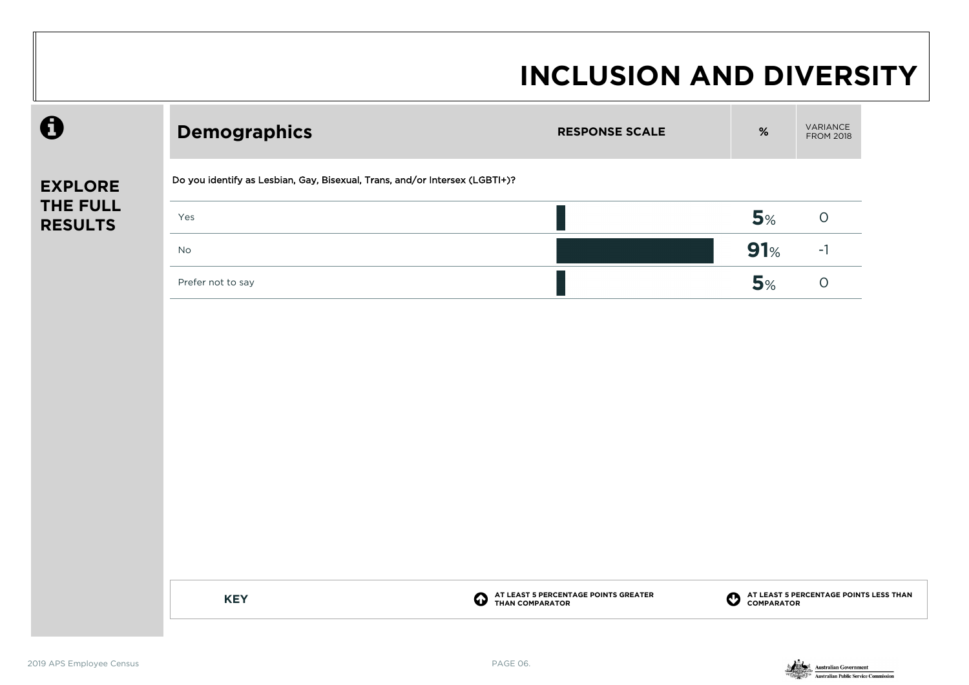| $\mathbf \Theta$           | <b>Demographics</b>                                                         | <b>RESPONSE SCALE</b>                                                            | $\%$                                       | VARIANCE<br><b>FROM 2018</b>           |
|----------------------------|-----------------------------------------------------------------------------|----------------------------------------------------------------------------------|--------------------------------------------|----------------------------------------|
| <b>EXPLORE</b>             | Do you identify as Lesbian, Gay, Bisexual, Trans, and/or Intersex (LGBTI+)? |                                                                                  |                                            |                                        |
| THE FULL<br><b>RESULTS</b> | Yes                                                                         |                                                                                  | 5%                                         | $\bigcirc$                             |
|                            | No                                                                          |                                                                                  | 91%                                        | $-1$                                   |
|                            | Prefer not to say                                                           |                                                                                  | 5%                                         | $\bigcirc$                             |
|                            |                                                                             |                                                                                  |                                            |                                        |
|                            |                                                                             |                                                                                  |                                            |                                        |
|                            |                                                                             |                                                                                  |                                            |                                        |
|                            |                                                                             |                                                                                  |                                            |                                        |
|                            |                                                                             |                                                                                  |                                            |                                        |
|                            |                                                                             |                                                                                  |                                            |                                        |
|                            | <b>KEY</b>                                                                  | AT LEAST 5 PERCENTAGE POINTS GREATER<br>THAN COMPARATOR<br>$\boldsymbol{\Theta}$ | $\boldsymbol{\Theta}$<br><b>COMPARATOR</b> | AT LEAST 5 PERCENTAGE POINTS LESS THAN |

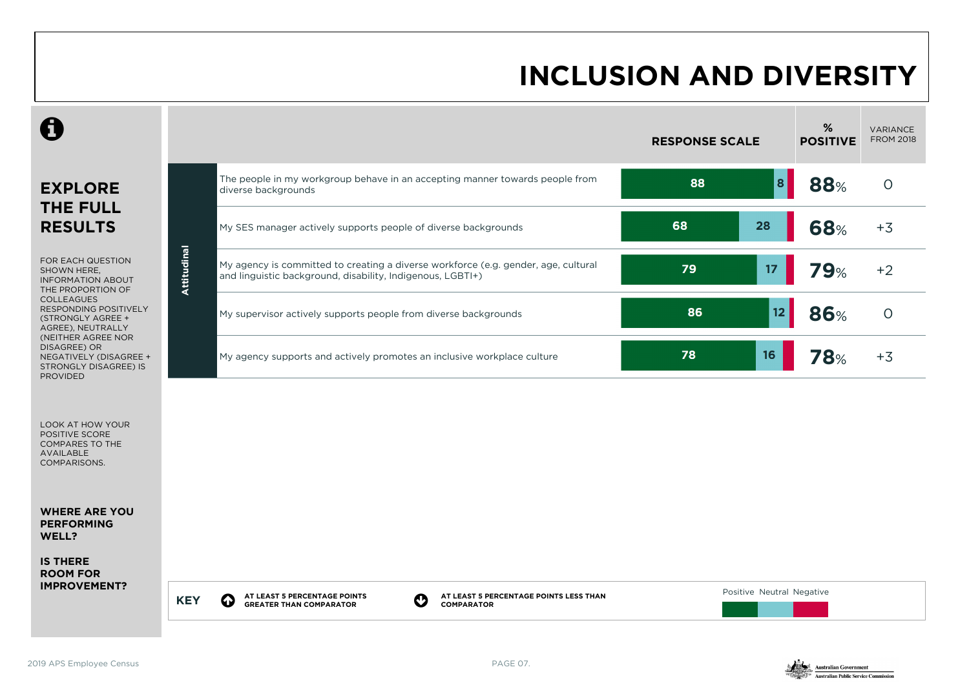|                                                                                                          |             |                                                                                                                                                                         | <b>RESPONSE SCALE</b>     | %<br><b>POSITIVE</b> | VARIANCE<br><b>FROM 2018</b> |
|----------------------------------------------------------------------------------------------------------|-------------|-------------------------------------------------------------------------------------------------------------------------------------------------------------------------|---------------------------|----------------------|------------------------------|
| <b>EXPLORE</b><br><b>THE FULL</b>                                                                        |             | The people in my workgroup behave in an accepting manner towards people from<br>diverse backgrounds                                                                     | 8 <br>88                  | <b>88%</b>           | $\Omega$                     |
| <b>RESULTS</b>                                                                                           |             | My SES manager actively supports people of diverse backgrounds                                                                                                          | 68<br>28                  | <b>68%</b>           | $+3$                         |
| FOR EACH QUESTION<br>SHOWN HERE,<br><b>INFORMATION ABOUT</b><br>THE PROPORTION OF                        | Attitudinal | My agency is committed to creating a diverse workforce (e.g. gender, age, cultural<br>and linguistic background, disability, Indigenous, LGBTI+)                        | 79<br>17                  | 79%                  | $+2$                         |
| <b>COLLEAGUES</b><br>RESPONDING POSITIVELY<br>(STRONGLY AGREE +<br>AGREE), NEUTRALLY                     |             | My supervisor actively supports people from diverse backgrounds                                                                                                         | 86<br>12                  | <b>86%</b>           | $\circ$                      |
| (NEITHER AGREE NOR<br>DISAGREE) OR<br>NEGATIVELY (DISAGREE +<br>STRONGLY DISAGREE) IS<br><b>PROVIDED</b> |             | My agency supports and actively promotes an inclusive workplace culture                                                                                                 | 16<br>78                  | <b>78%</b>           | $+3$                         |
| LOOK AT HOW YOUR<br>POSITIVE SCORE<br>COMPARES TO THE<br><b>AVAILABLE</b><br>COMPARISONS.                |             |                                                                                                                                                                         |                           |                      |                              |
| <b>WHERE ARE YOU</b><br><b>PERFORMING</b><br>WELL?                                                       |             |                                                                                                                                                                         |                           |                      |                              |
| <b>IS THERE</b><br><b>ROOM FOR</b><br><b>IMPROVEMENT?</b>                                                |             |                                                                                                                                                                         |                           |                      |                              |
|                                                                                                          | <b>KEY</b>  | AT LEAST 5 PERCENTAGE POINTS LESS THAN<br>AT LEAST 5 PERCENTAGE POINTS<br>$\bf{Q}$<br>$\boldsymbol{\mathcal{O}}$<br><b>GREATER THAN COMPARATOR</b><br><b>COMPARATOR</b> | Positive Neutral Negative |                      |                              |

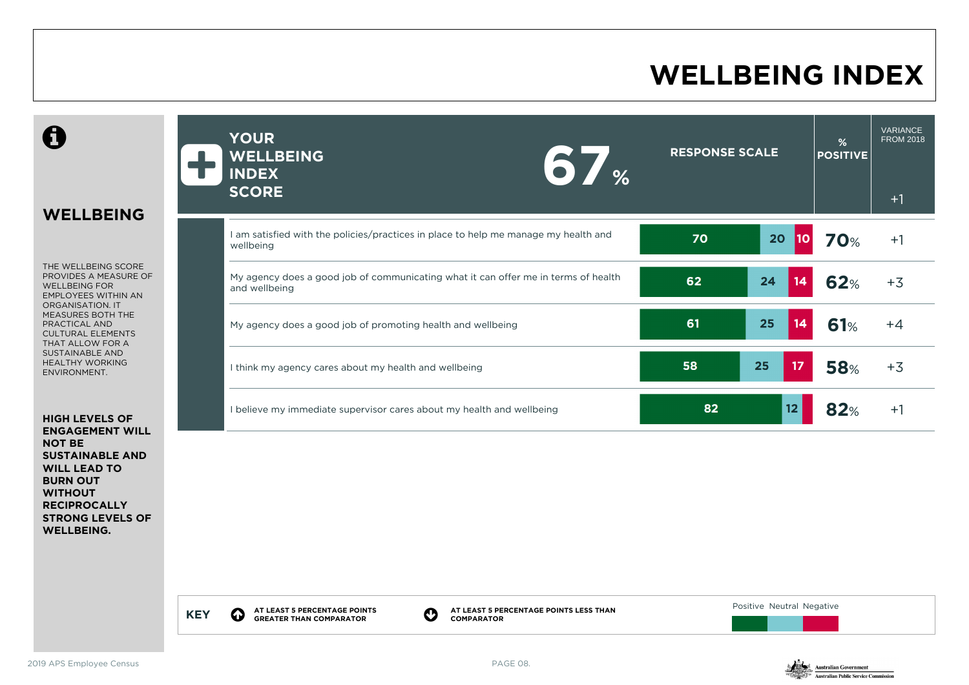### **WELLBEING INDEX**

**WELLBEING** THE WELLBEING SCORE PROVIDES A MEASURE OF WELLBEING FOR EMPLOYEES WITHIN AN ORGANISATION. IT MEASURES BOTH THE PRACTICAL AND CULTURAL ELEMENTS THAT ALLOW FOR A SUSTAINABLE AND HEALTHY WORKING ENVIRONMENT. **HIGH LEVELS OF ENGAGEMENT WILL NOT BE SUSTAINABLE AND**  ÷ **YOUR WELLBEING INDEX SCORE 67% RESPONSE SCALE % POSITIVE** VARIANCE FROM 2018  $+1$ I am satisfied with the policies/practices in place to help me manage my health and **70 <sup>70</sup> 70 <sup>10</sup> 70**% +1 My agency does a good job of communicating what it can offer me in terms of health and wellbeing **62**% +3 My agency does a good job of promoting health and wellbeing **61 61 61 61 61**% +4 I think my agency cares about my health and wellbeing **58**% +3 I believe my immediate supervisor cares about my health and wellbeing **82 82 12 82**% +1

> **KEY O AT LEAST 5 PERCENTAGE POINTS AT LEAST 5 PERCENTAGE POINTS<br>GREATER THAN COMPARATOR COMPARATOR**

**AT LEAST 5 PERCENTAGE POINTS LESS THAN COMPARATOR**

Positive Neutral Negative



**WILL LEAD TO BURN OUT WITHOUT RECIPROCALLY STRONG LEVELS OF** 

**WELLBEING.**

 $\mathbf \theta$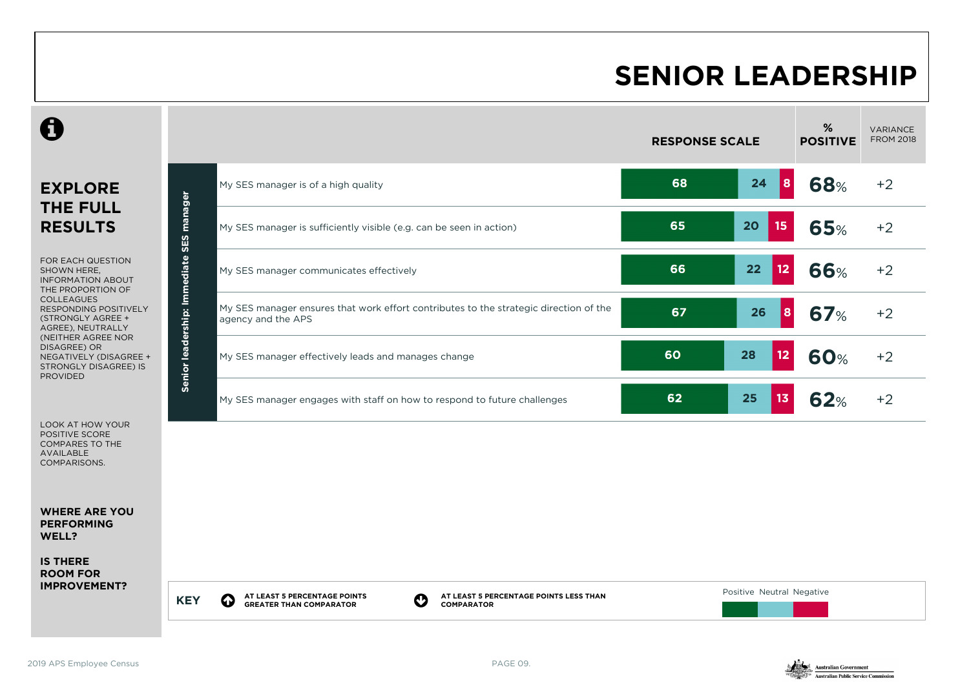### **SENIOR LEADERSHIP**

|                                                                                                                                                                           |                              |                                                                                                             | <b>RESPONSE SCALE</b> |                         | %<br><b>POSITIVE</b> | <b>VARIANCE</b><br><b>FROM 2018</b> |
|---------------------------------------------------------------------------------------------------------------------------------------------------------------------------|------------------------------|-------------------------------------------------------------------------------------------------------------|-----------------------|-------------------------|----------------------|-------------------------------------|
| <b>EXPLORE</b>                                                                                                                                                            |                              | My SES manager is of a high quality                                                                         | 68                    | 24<br> 8                | <b>68%</b>           | $+2$                                |
| <b>THE FULL</b><br><b>RESULTS</b>                                                                                                                                         | manager<br>SES               | My SES manager is sufficiently visible (e.g. can be seen in action)                                         | 65                    | 20<br>15                | <b>65%</b>           | $+2$                                |
| FOR EACH QUESTION<br>SHOWN HERE,<br><b>INFORMATION ABOUT</b><br>THE PROPORTION OF<br><b>COLLEAGUES</b><br>RESPONDING POSITIVELY<br>(STRONGLY AGREE +<br>AGREE), NEUTRALLY |                              | My SES manager communicates effectively                                                                     | 66                    | 22<br>$12 \overline{ }$ | <b>66%</b>           | $+2$                                |
|                                                                                                                                                                           | Senior leadership: Immediate | My SES manager ensures that work effort contributes to the strategic direction of the<br>agency and the APS | 67                    | 26<br><b>8</b>          | <b>67%</b>           | $+2$                                |
| (NEITHER AGREE NOR<br>DISAGREE) OR<br>NEGATIVELY (DISAGREE +<br>STRONGLY DISAGREE) IS<br><b>PROVIDED</b>                                                                  |                              | My SES manager effectively leads and manages change                                                         | 60                    | 28<br>12                | <b>60%</b>           | $+2$                                |
|                                                                                                                                                                           |                              | My SES manager engages with staff on how to respond to future challenges                                    | 62                    | 25<br>13                | 62%                  | $+2$                                |
| <b>LOOK AT HOW YOUR</b><br>POSITIVE SCORE<br>COMPARES TO THE<br><b>AVAILABLE</b><br>COMPARISONS.                                                                          |                              |                                                                                                             |                       |                         |                      |                                     |
| <b>WHERE ARE YOU</b><br><b>PERFORMING</b><br>WELL?                                                                                                                        |                              |                                                                                                             |                       |                         |                      |                                     |
|                                                                                                                                                                           |                              |                                                                                                             |                       |                         |                      |                                     |

**IS THERE ROOM FOR IMPROVEMENT?**

> **KEY Q AT LEAST 5 PERCENTAGE POINTS GREATER THAN COMPARATOR**

**AT LEAST 5 PERCENTAGE POINTS LESS THAN COMPARATOR**

Positive Neutral Negative

2019 APS Employee Census PAGE 09.

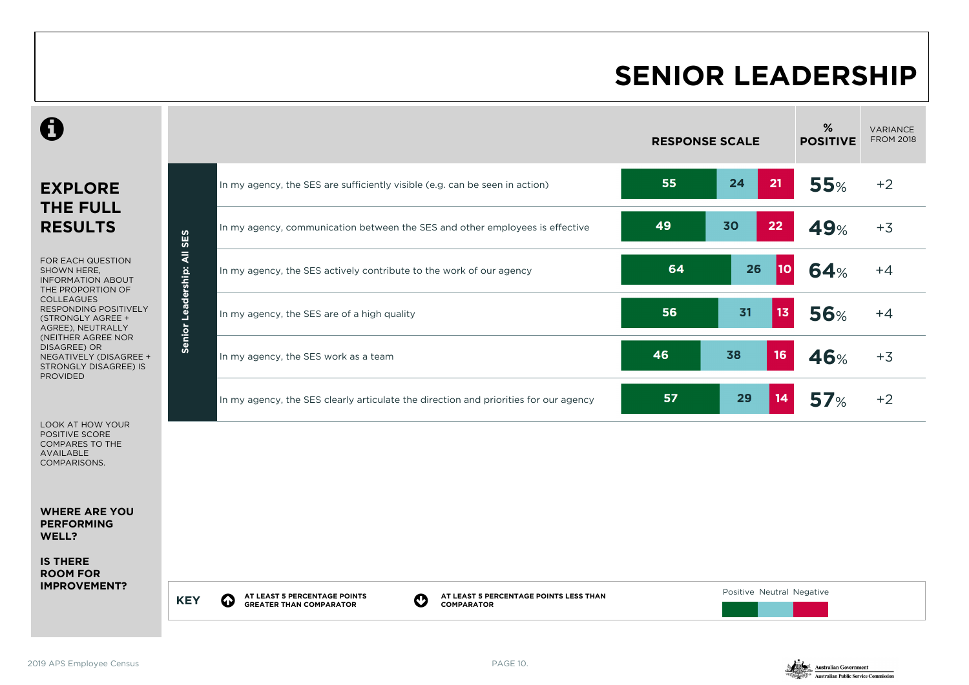#### **SENIOR LEADERSHIP**

|                                                                                                          |                              |                                                                                                                                                                    |    | <b>RESPONSE SCALE</b>     | %<br><b>POSITIVE</b> | <b>VARIANCE</b><br><b>FROM 2018</b> |
|----------------------------------------------------------------------------------------------------------|------------------------------|--------------------------------------------------------------------------------------------------------------------------------------------------------------------|----|---------------------------|----------------------|-------------------------------------|
| <b>EXPLORE</b>                                                                                           |                              | In my agency, the SES are sufficiently visible (e.g. can be seen in action)                                                                                        | 55 | 24<br>21                  | <b>55%</b>           | $+2$                                |
| <b>THE FULL</b><br><b>RESULTS</b>                                                                        | SES                          | In my agency, communication between the SES and other employees is effective                                                                                       | 49 | 22<br>30                  | 49%                  | $+3$                                |
| FOR EACH QUESTION<br>SHOWN HERE,<br><b>INFORMATION ABOUT</b><br>THE PROPORTION OF                        | $\bar{a}$                    | In my agency, the SES actively contribute to the work of our agency                                                                                                | 64 | 26<br><b>10</b>           | 64%                  | $+4$                                |
| <b>COLLEAGUES</b><br><b>RESPONDING POSITIVELY</b><br>(STRONGLY AGREE +<br>AGREE), NEUTRALLY              | Leadership:<br><b>Senior</b> | In my agency, the SES are of a high quality                                                                                                                        | 56 | 13 <sub>1</sub><br>31     | <b>56%</b>           | $+4$                                |
| (NEITHER AGREE NOR<br>DISAGREE) OR<br>NEGATIVELY (DISAGREE +<br>STRONGLY DISAGREE) IS<br><b>PROVIDED</b> |                              | In my agency, the SES work as a team                                                                                                                               | 46 | 16<br>38                  | <b>46%</b>           | $+3$                                |
|                                                                                                          |                              | In my agency, the SES clearly articulate the direction and priorities for our agency                                                                               | 57 | 29<br>14                  | 57 <sub>%</sub>      | $+2$                                |
| <b>LOOK AT HOW YOUR</b><br>POSITIVE SCORE<br><b>COMPARES TO THE</b><br><b>AVAILABLE</b><br>COMPARISONS.  |                              |                                                                                                                                                                    |    |                           |                      |                                     |
| <b>WHERE ARE YOU</b><br><b>PERFORMING</b><br>WELL?                                                       |                              |                                                                                                                                                                    |    |                           |                      |                                     |
| <b>IS THERE</b><br><b>ROOM FOR</b><br><b>IMPROVEMENT?</b>                                                |                              |                                                                                                                                                                    |    |                           |                      |                                     |
|                                                                                                          | <b>KEY</b>                   | AT LEAST 5 PERCENTAGE POINTS<br>AT LEAST 5 PERCENTAGE POINTS LESS THAN<br>$\boldsymbol{\Omega}$<br>$\bf{Q}$<br><b>GREATER THAN COMPARATOR</b><br><b>COMPARATOR</b> |    | Positive Neutral Negative |                      |                                     |

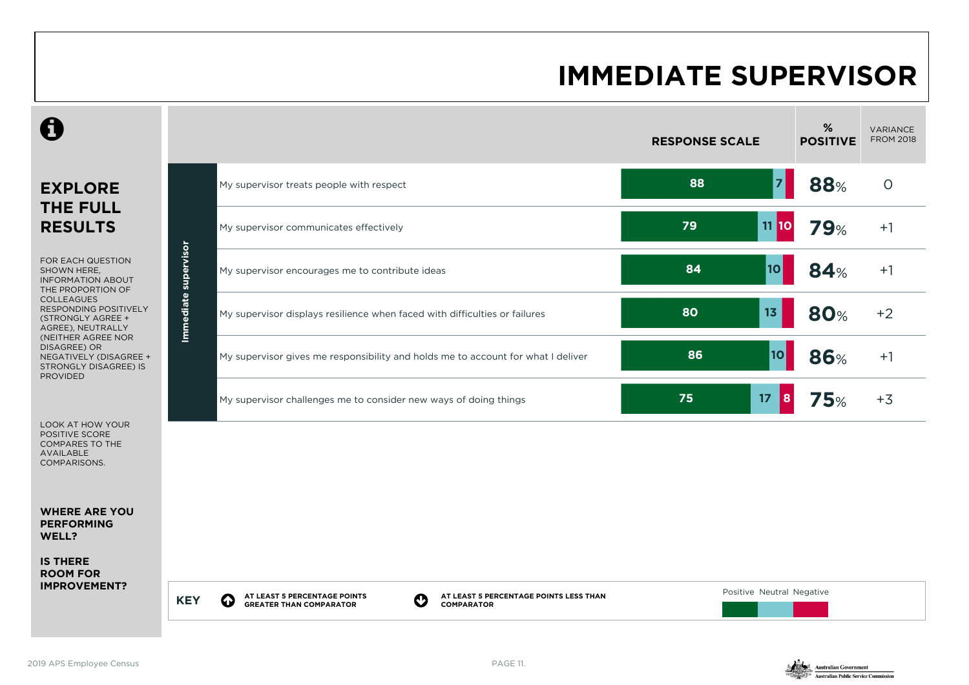#### **IMMEDIATE SUPERVISOR**





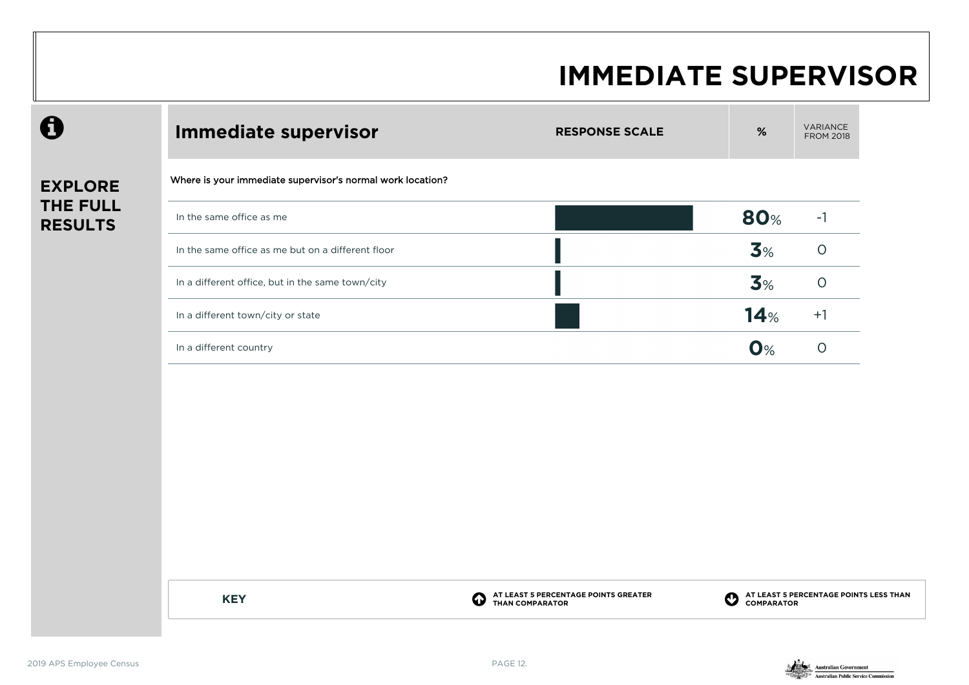#### **IMMEDIATE SUPERVISOR**

| 0                          | <b>Immediate supervisor</b>                                | <b>RESPONSE SCALE</b> | $\%$       | <b>VARIA</b><br>FROM |
|----------------------------|------------------------------------------------------------|-----------------------|------------|----------------------|
| <b>EXPLORE</b>             | Where is your immediate supervisor's normal work location? |                       |            |                      |
| THE FULL<br><b>RESULTS</b> | In the same office as me                                   |                       | <b>80%</b> | $-1$                 |
|                            | In the same office as me but on a different floor          |                       | 3%         | $\circ$              |
|                            | In a different office, but in the same town/city           |                       | 3%         | $\circ$              |
|                            | In a different town/city or state                          |                       | 14%        | $+1$                 |
|                            | In a different country                                     |                       | $O\%$      | $\circ$              |
|                            |                                                            |                       |            |                      |
|                            |                                                            |                       |            |                      |
|                            |                                                            |                       |            |                      |
|                            |                                                            |                       |            |                      |
|                            |                                                            |                       |            |                      |
|                            |                                                            |                       |            |                      |

**KEY C** 

**AT LEAST 5 PERCENTAGE POINTS GREATER THAN COMPARATOR**

**AT LEAST 5 PERCENTAGE POINTS LESS THAN COMPARATOR**

VARIANCE FROM 2018

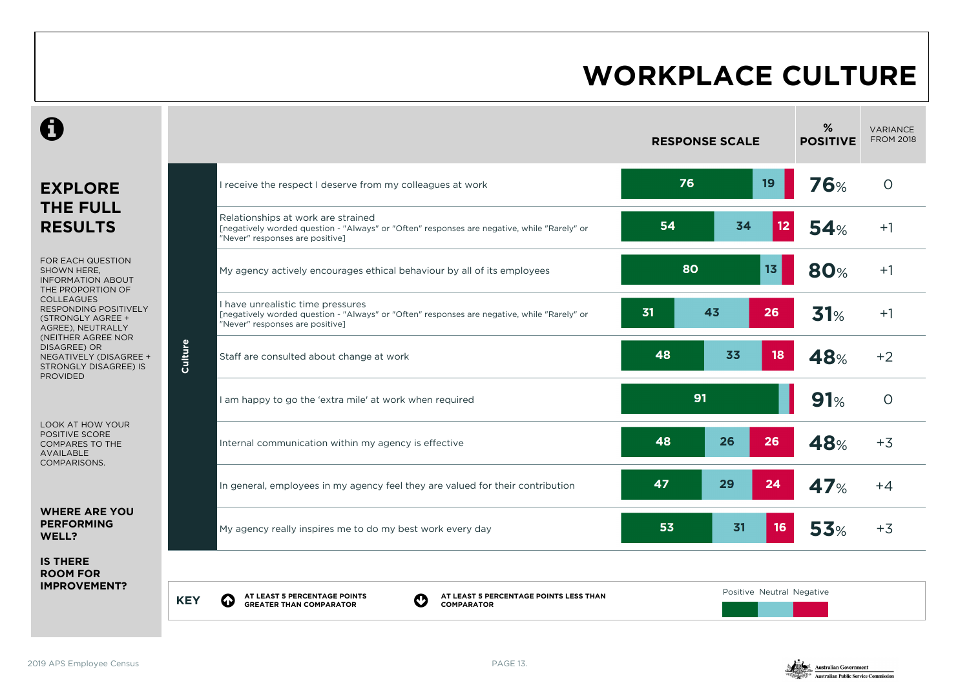| C                                                                                                                                                                                                       |            |                                                                                                                                                                      |    | <b>RESPONSE SCALE</b> |                           | %<br><b>POSITIVE</b> | <b>VARIANCE</b><br><b>FROM 2018</b> |
|---------------------------------------------------------------------------------------------------------------------------------------------------------------------------------------------------------|------------|----------------------------------------------------------------------------------------------------------------------------------------------------------------------|----|-----------------------|---------------------------|----------------------|-------------------------------------|
| <b>EXPLORE</b>                                                                                                                                                                                          |            | I receive the respect I deserve from my colleagues at work                                                                                                           |    | 76                    | 19                        | 76%                  | $\circ$                             |
| <b>THE FULL</b><br><b>RESULTS</b>                                                                                                                                                                       |            | Relationships at work are strained<br>[negatively worded question - "Always" or "Often" responses are negative, while "Rarely" or<br>"Never" responses are positive] | 54 | 34                    | 12                        | 54%                  | $+1$                                |
| FOR EACH QUESTION<br>SHOWN HERE,<br><b>INFORMATION ABOUT</b><br>THE PROPORTION OF                                                                                                                       |            | My agency actively encourages ethical behaviour by all of its employees                                                                                              |    | 80                    | 13 <sub>1</sub>           | <b>80%</b>           | $+1$                                |
| <b>COLLEAGUES</b><br>RESPONDING POSITIVELY<br>(STRONGLY AGREE +<br>AGREE), NEUTRALLY<br>(NEITHER AGREE NOR<br>DISAGREE) OR<br>NEGATIVELY (DISAGREE +<br><b>STRONGLY DISAGREE) IS</b><br><b>PROVIDED</b> | Culture    | I have unrealistic time pressures<br>[negatively worded question - "Always" or "Often" responses are negative, while "Rarely" or<br>"Never" responses are positive]  | 31 | 43                    | 26                        | 31%                  | $+1$                                |
|                                                                                                                                                                                                         |            | Staff are consulted about change at work                                                                                                                             | 48 | 33                    | 18                        | 48%                  | $+2$                                |
|                                                                                                                                                                                                         |            | I am happy to go the 'extra mile' at work when required                                                                                                              |    | 91                    |                           | 91%                  | $\circ$                             |
| LOOK AT HOW YOUR<br><b>POSITIVE SCORE</b><br><b>COMPARES TO THE</b><br>AVAILABLE<br>COMPARISONS.                                                                                                        |            | Internal communication within my agency is effective                                                                                                                 | 48 | 26                    | 26                        | 48%                  | $+3$                                |
|                                                                                                                                                                                                         |            | In general, employees in my agency feel they are valued for their contribution                                                                                       | 47 | 29                    | 24                        | 47%                  | $+4$                                |
| <b>WHERE ARE YOU</b><br><b>PERFORMING</b><br>WELL?                                                                                                                                                      |            | My agency really inspires me to do my best work every day                                                                                                            | 53 | 31                    | 16                        | 53%                  | $+3$                                |
| <b>IS THERE</b><br><b>ROOM FOR</b>                                                                                                                                                                      |            |                                                                                                                                                                      |    |                       |                           |                      |                                     |
| <b>IMPROVEMENT?</b>                                                                                                                                                                                     | <b>KEY</b> | AT LEAST 5 PERCENTAGE POINTS<br>AT LEAST 5 PERCENTAGE POINTS LESS THAN<br>$\boldsymbol{\Omega}$<br>$\bf{Q}$<br><b>GREATER THAN COMPARATOR</b><br><b>COMPARATOR</b>   |    |                       | Positive Neutral Negative |                      |                                     |

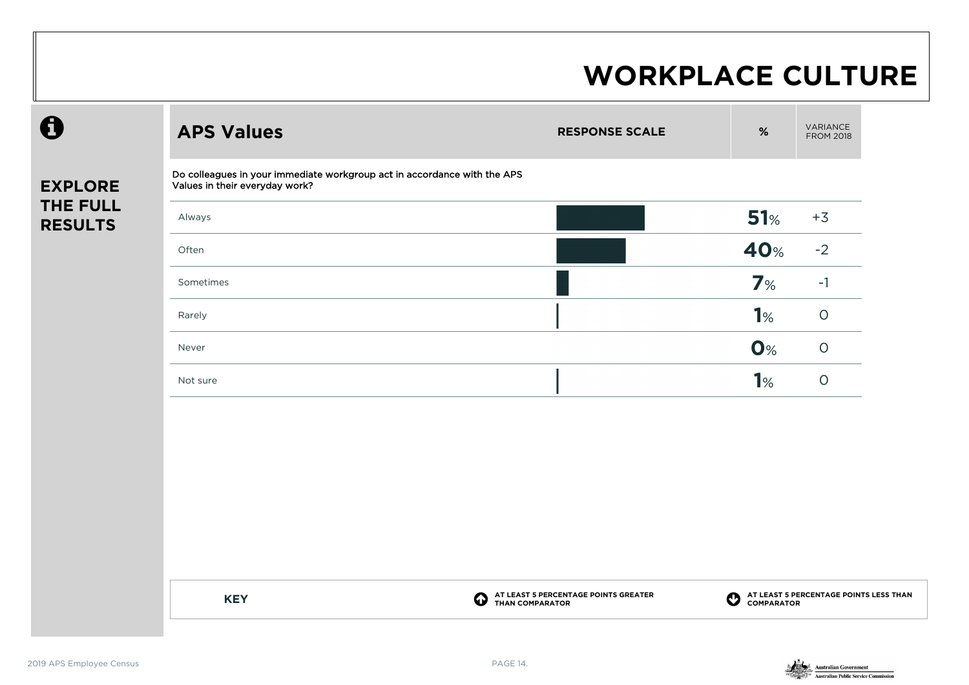| <b>EXPLORE</b>  |  |
|-----------------|--|
| <b>THE FULL</b> |  |
|                 |  |
| <b>RESULTS</b>  |  |

 $\boldsymbol{\theta}$ 

| <b>APS Values</b>                                                                                          | <b>RESPONSE SCALE</b> | $\%$ | <b>VARIANCE</b><br><b>FROM 2018</b> |
|------------------------------------------------------------------------------------------------------------|-----------------------|------|-------------------------------------|
| Do colleagues in your immediate workgroup act in accordance with the APS<br>Values in their everyday work? |                       |      |                                     |
| Always                                                                                                     |                       | 51%  | $+3$                                |
| Often                                                                                                      |                       | 40%  | $-2$                                |
| Sometimes                                                                                                  |                       | 7%   | $-1$                                |
| Rarely                                                                                                     |                       | 1%   | $\circ$                             |
| Never                                                                                                      |                       | O%   | $\circ$                             |
| Not sure                                                                                                   |                       | 1%   | $\circ$                             |
|                                                                                                            |                       |      |                                     |
|                                                                                                            |                       |      |                                     |
|                                                                                                            |                       |      |                                     |

**KEY C** 

**AT LEAST 5 PERCENTAGE POINTS GREATER THAN COMPARATOR**

**AT LEAST 5 PERCENTAGE POINTS LESS THAN COMPARATOR**

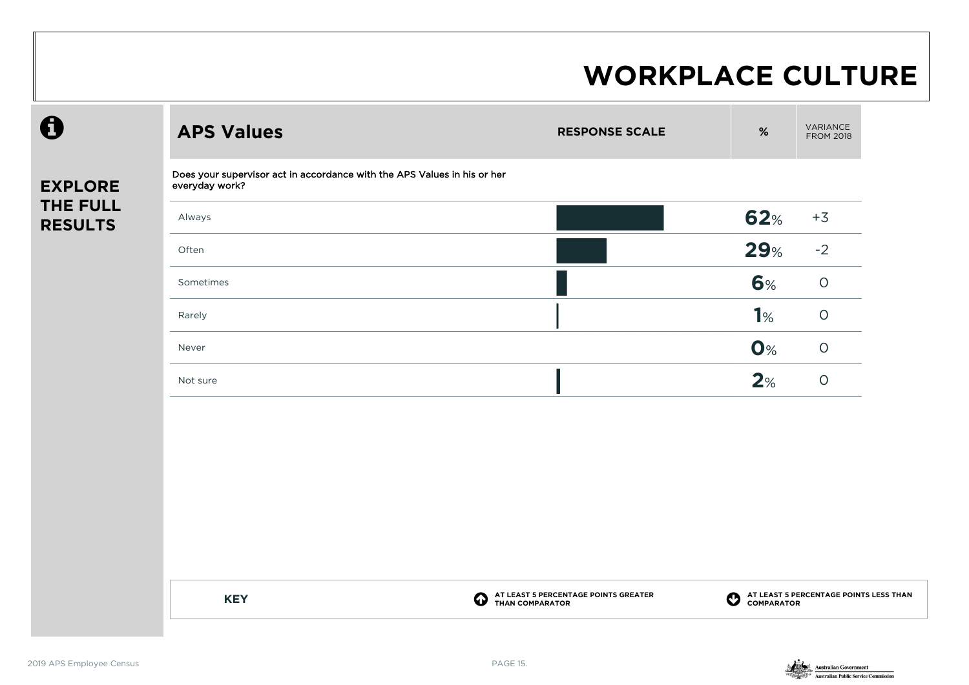| $\mathbf \Theta$           | <b>APS Values</b>                                                                          | <b>RESPONSE SCALE</b>                                   | $\%$                  | VARIANCE<br><b>FROM 2018</b>                         |
|----------------------------|--------------------------------------------------------------------------------------------|---------------------------------------------------------|-----------------------|------------------------------------------------------|
| <b>EXPLORE</b>             | Does your supervisor act in accordance with the APS Values in his or her<br>everyday work? |                                                         |                       |                                                      |
| THE FULL<br><b>RESULTS</b> | Always                                                                                     |                                                         | 62%                   | $+3$                                                 |
|                            | Often                                                                                      |                                                         | 29%                   | $-2$                                                 |
|                            | Sometimes                                                                                  |                                                         | 6%                    | $\circ$                                              |
|                            | Rarely                                                                                     |                                                         | 1%                    | $\circ$                                              |
|                            | Never                                                                                      |                                                         | O%                    | $\circ$                                              |
|                            | Not sure                                                                                   |                                                         | 2%                    | $\circ$                                              |
|                            |                                                                                            |                                                         |                       |                                                      |
|                            |                                                                                            |                                                         |                       |                                                      |
|                            |                                                                                            |                                                         |                       |                                                      |
|                            |                                                                                            |                                                         |                       |                                                      |
|                            |                                                                                            |                                                         |                       |                                                      |
|                            |                                                                                            |                                                         |                       |                                                      |
|                            | $\boldsymbol{\Omega}$<br><b>KEY</b>                                                        | AT LEAST 5 PERCENTAGE POINTS GREATER<br>THAN COMPARATOR | $\boldsymbol{\Omega}$ | AT LEAST 5 PERCENTAGE POINTS LESS THAN<br>COMPARATOR |

 $\boldsymbol{\theta}$ 

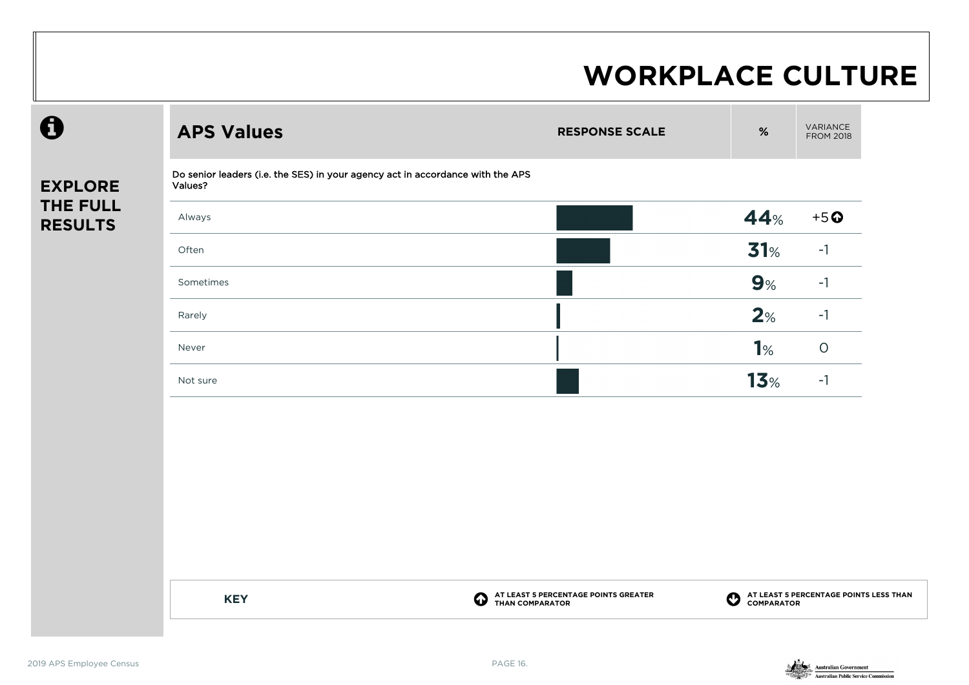| $\mathbf \Theta$           | <b>APS Values</b>                                                                         | <b>RESPONSE SCALE</b> | $\%$            | VARIANCE<br><b>FROM 2018</b> |
|----------------------------|-------------------------------------------------------------------------------------------|-----------------------|-----------------|------------------------------|
| <b>EXPLORE</b>             | Do senior leaders (i.e. the SES) in your agency act in accordance with the APS<br>Values? |                       |                 |                              |
| THE FULL<br><b>RESULTS</b> | Always                                                                                    |                       | 44%             | $+5o$                        |
|                            | Often                                                                                     |                       | 31%             | $-1$                         |
|                            | Sometimes                                                                                 |                       | 9%              | $-1$                         |
|                            | Rarely                                                                                    |                       | 2%              | $-1$                         |
|                            | Never                                                                                     |                       | 1%              | $\bigcirc$                   |
|                            | Not sure                                                                                  |                       | 13 <sub>%</sub> | $-1$                         |
|                            |                                                                                           |                       |                 |                              |
|                            |                                                                                           |                       |                 |                              |
|                            |                                                                                           |                       |                 |                              |
|                            |                                                                                           |                       |                 |                              |

**KEY C** 

**AT LEAST 5 PERCENTAGE POINTS GREATER THAN COMPARATOR**

**AT LEAST 5 PERCENTAGE POINTS LESS THAN COMPARATOR**

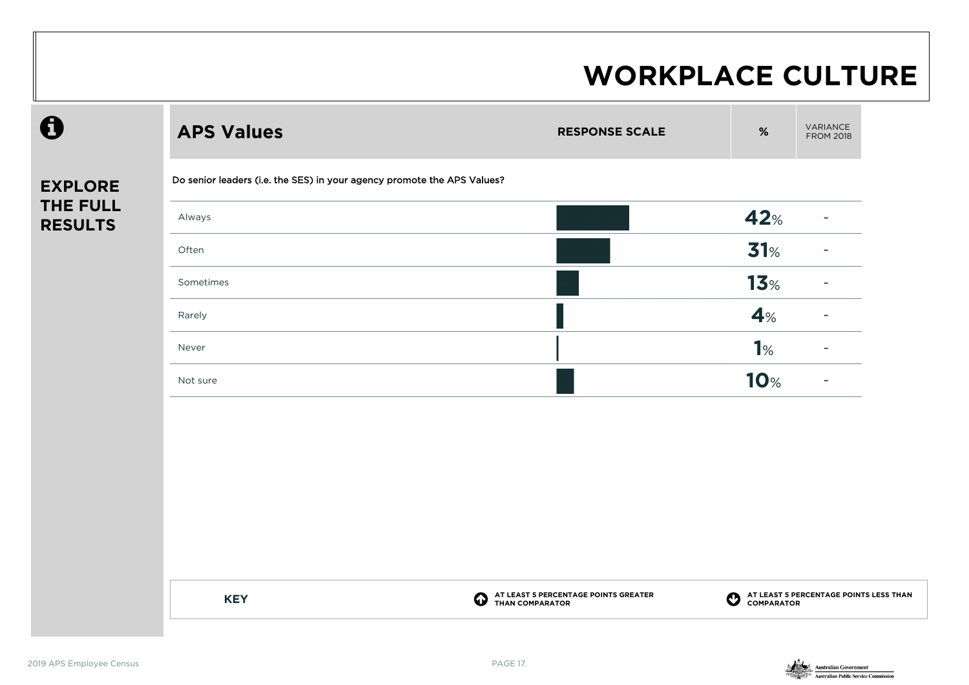| $\mathbf \Theta$           | <b>APS Values</b>                                                       | <b>RESPONSE SCALE</b>                                                            | VARIANCE<br>$\%$<br><b>FROM 2018</b>                          |
|----------------------------|-------------------------------------------------------------------------|----------------------------------------------------------------------------------|---------------------------------------------------------------|
| <b>EXPLORE</b>             | Do senior leaders (i.e. the SES) in your agency promote the APS Values? |                                                                                  |                                                               |
| THE FULL<br><b>RESULTS</b> | Always                                                                  |                                                                                  | 42%<br>$\overline{\phantom{a}}$                               |
|                            | Often                                                                   |                                                                                  | 31%                                                           |
|                            | Sometimes                                                               |                                                                                  | 13 <sub>%</sub>                                               |
|                            | Rarely                                                                  |                                                                                  | 4%                                                            |
|                            | Never                                                                   |                                                                                  | 1%                                                            |
|                            | Not sure                                                                |                                                                                  | <b>10%</b><br>$\blacksquare$                                  |
|                            |                                                                         |                                                                                  |                                                               |
|                            |                                                                         |                                                                                  |                                                               |
|                            |                                                                         |                                                                                  |                                                               |
|                            |                                                                         |                                                                                  |                                                               |
|                            |                                                                         |                                                                                  |                                                               |
|                            |                                                                         |                                                                                  |                                                               |
|                            | <b>KEY</b>                                                              | AT LEAST 5 PERCENTAGE POINTS GREATER<br>THAN COMPARATOR<br>$\boldsymbol{\Theta}$ | <b>O</b> AT LEAST 5 PERCENTAGE POINTS LESS THAN<br>COMPARATOR |

 $\boldsymbol{\theta}$ 

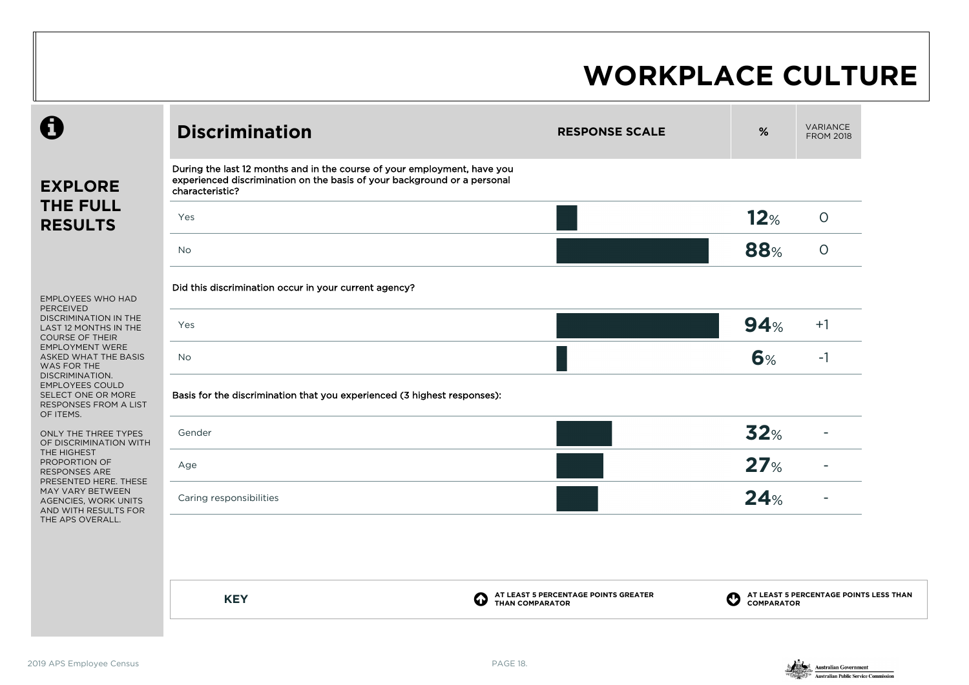| During the last 12 months and in the course of your employment, have you<br>experienced discrimination on the basis of your background or a personal<br><b>EXPLORE</b><br>characteristic?<br><b>THE FULL</b><br>12%<br>Yes<br><b>RESULTS</b><br>88%<br><b>No</b><br>Did this discrimination occur in your current agency?<br><b>EMPLOYEES WHO HAD</b><br><b>PERCEIVED</b><br>DISCRIMINATION IN THE<br>94%<br>Yes<br>LAST 12 MONTHS IN THE<br><b>COURSE OF THEIR</b><br><b>EMPLOYMENT WERE</b><br>6%<br>ASKED WHAT THE BASIS<br><b>No</b><br>WAS FOR THE<br>DISCRIMINATION.<br><b>EMPLOYEES COULD</b><br>Basis for the discrimination that you experienced (3 highest responses):<br>SELECT ONE OR MORE<br>RESPONSES FROM A LIST<br>OF ITEMS.<br>32%<br>Gender<br>ONLY THE THREE TYPES<br>OF DISCRIMINATION WITH<br>THE HIGHEST<br>27%<br>PROPORTION OF<br>Age<br>RESPONSES ARE<br>PRESENTED HERE. THESE<br>MAY VARY BETWEEN<br>24%<br>Caring responsibilities<br>AGENCIES, WORK UNITS<br>AND WITH RESULTS FOR<br>THE APS OVERALL. | <b>VARIANCE</b><br><b>FROM 2018</b>    |
|-----------------------------------------------------------------------------------------------------------------------------------------------------------------------------------------------------------------------------------------------------------------------------------------------------------------------------------------------------------------------------------------------------------------------------------------------------------------------------------------------------------------------------------------------------------------------------------------------------------------------------------------------------------------------------------------------------------------------------------------------------------------------------------------------------------------------------------------------------------------------------------------------------------------------------------------------------------------------------------------------------------------------------------|----------------------------------------|
|                                                                                                                                                                                                                                                                                                                                                                                                                                                                                                                                                                                                                                                                                                                                                                                                                                                                                                                                                                                                                                   |                                        |
|                                                                                                                                                                                                                                                                                                                                                                                                                                                                                                                                                                                                                                                                                                                                                                                                                                                                                                                                                                                                                                   | $\circ$                                |
|                                                                                                                                                                                                                                                                                                                                                                                                                                                                                                                                                                                                                                                                                                                                                                                                                                                                                                                                                                                                                                   | $\circ$                                |
|                                                                                                                                                                                                                                                                                                                                                                                                                                                                                                                                                                                                                                                                                                                                                                                                                                                                                                                                                                                                                                   |                                        |
|                                                                                                                                                                                                                                                                                                                                                                                                                                                                                                                                                                                                                                                                                                                                                                                                                                                                                                                                                                                                                                   | $+1$                                   |
|                                                                                                                                                                                                                                                                                                                                                                                                                                                                                                                                                                                                                                                                                                                                                                                                                                                                                                                                                                                                                                   | $-1$                                   |
|                                                                                                                                                                                                                                                                                                                                                                                                                                                                                                                                                                                                                                                                                                                                                                                                                                                                                                                                                                                                                                   |                                        |
|                                                                                                                                                                                                                                                                                                                                                                                                                                                                                                                                                                                                                                                                                                                                                                                                                                                                                                                                                                                                                                   |                                        |
|                                                                                                                                                                                                                                                                                                                                                                                                                                                                                                                                                                                                                                                                                                                                                                                                                                                                                                                                                                                                                                   |                                        |
|                                                                                                                                                                                                                                                                                                                                                                                                                                                                                                                                                                                                                                                                                                                                                                                                                                                                                                                                                                                                                                   |                                        |
|                                                                                                                                                                                                                                                                                                                                                                                                                                                                                                                                                                                                                                                                                                                                                                                                                                                                                                                                                                                                                                   |                                        |
|                                                                                                                                                                                                                                                                                                                                                                                                                                                                                                                                                                                                                                                                                                                                                                                                                                                                                                                                                                                                                                   |                                        |
| AT LEAST 5 PERCENTAGE POINTS GREATER<br><b>KEY</b><br>4<br><b>COMPARATOR</b><br><b>THAN COMPARATOR</b>                                                                                                                                                                                                                                                                                                                                                                                                                                                                                                                                                                                                                                                                                                                                                                                                                                                                                                                            | AT LEAST 5 PERCENTAGE POINTS LESS THAN |

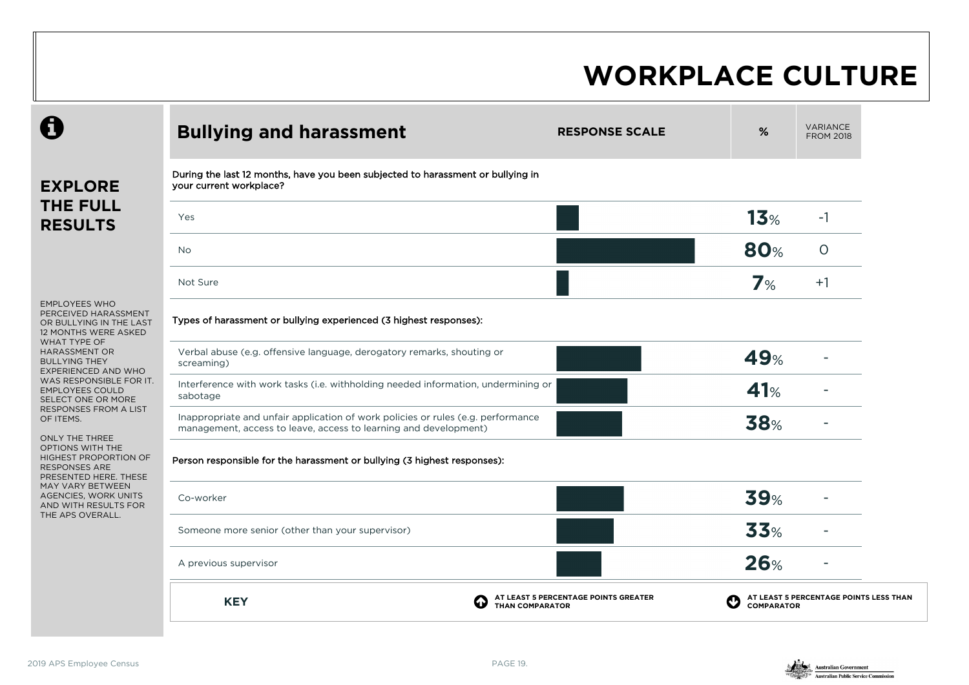|                                                                                                                                                                | <b>Bullying and harassment</b>                                                                                                                       | <b>RESPONSE SCALE</b>                | %                      | <b>VARIANCE</b><br><b>FROM 2018</b>    |
|----------------------------------------------------------------------------------------------------------------------------------------------------------------|------------------------------------------------------------------------------------------------------------------------------------------------------|--------------------------------------|------------------------|----------------------------------------|
| <b>EXPLORE</b>                                                                                                                                                 | During the last 12 months, have you been subjected to harassment or bullying in<br>your current workplace?                                           |                                      |                        |                                        |
| <b>THE FULL</b><br><b>RESULTS</b>                                                                                                                              | Yes                                                                                                                                                  |                                      | 13 <sub>%</sub>        | $-1$                                   |
|                                                                                                                                                                | <b>No</b>                                                                                                                                            |                                      | <b>80%</b>             | $\circ$                                |
|                                                                                                                                                                | Not Sure                                                                                                                                             |                                      | 7%                     | $+1$                                   |
| <b>EMPLOYEES WHO</b><br>PERCEIVED HARASSMENT<br>OR BULLYING IN THE LAST<br>12 MONTHS WERE ASKED                                                                | Types of harassment or bullying experienced (3 highest responses):                                                                                   |                                      |                        |                                        |
| WHAT TYPE OF<br><b>HARASSMENT OR</b><br><b>BULLYING THEY</b><br>EXPERIENCED AND WHO<br>WAS RESPONSIBLE FOR IT.<br><b>EMPLOYEES COULD</b><br>SELECT ONE OR MORE | Verbal abuse (e.g. offensive language, derogatory remarks, shouting or<br>screaming)                                                                 |                                      | 49%                    |                                        |
|                                                                                                                                                                | Interference with work tasks (i.e. withholding needed information, undermining or<br>sabotage                                                        |                                      | 41%                    |                                        |
| <b>RESPONSES FROM A LIST</b><br>OF ITEMS.                                                                                                                      | Inappropriate and unfair application of work policies or rules (e.g. performance<br>management, access to leave, access to learning and development) |                                      | <b>38%</b>             |                                        |
| ONLY THE THREE<br><b>OPTIONS WITH THE</b><br><b>HIGHEST PROPORTION OF</b><br><b>RESPONSES ARE</b><br>PRESENTED HERE. THESE                                     | Person responsible for the harassment or bullying (3 highest responses):                                                                             |                                      |                        |                                        |
| MAY VARY BETWEEN<br>AGENCIES, WORK UNITS<br>AND WITH RESULTS FOR                                                                                               | Co-worker                                                                                                                                            |                                      | <b>39%</b>             |                                        |
| THE APS OVERALL.                                                                                                                                               | Someone more senior (other than your supervisor)                                                                                                     |                                      | 33%                    |                                        |
|                                                                                                                                                                | A previous supervisor                                                                                                                                |                                      | <b>26%</b>             |                                        |
|                                                                                                                                                                | <b>KEY</b><br>6<br><b>THAN COMPARATOR</b>                                                                                                            | AT LEAST 5 PERCENTAGE POINTS GREATER | Ø<br><b>COMPARATOR</b> | AT LEAST 5 PERCENTAGE POINTS LESS THAN |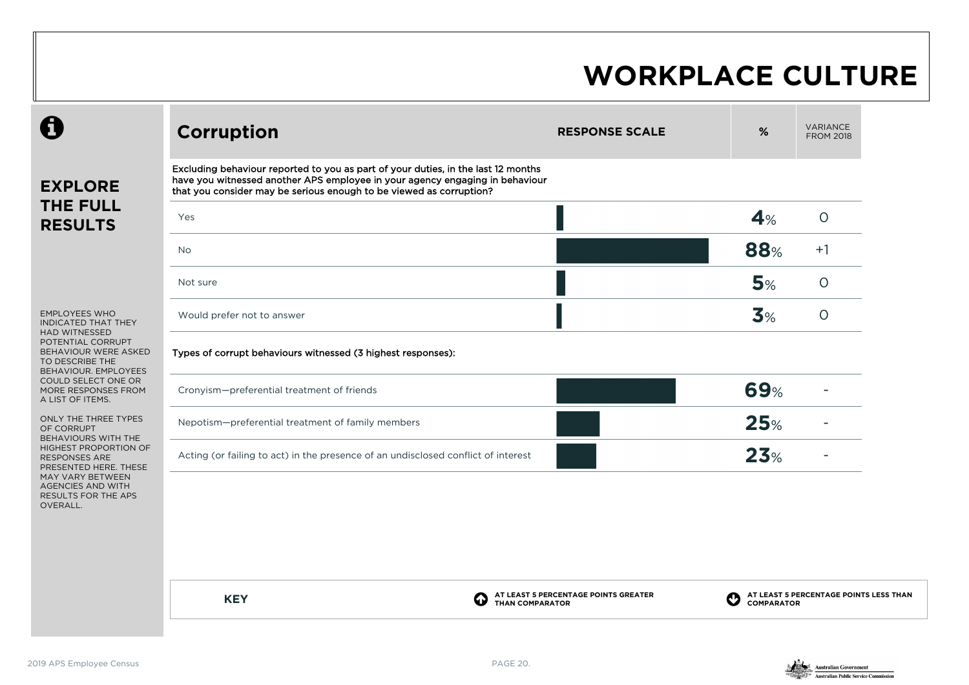| Excluding behaviour reported to you as part of your duties, in the last 12 months<br>have you witnessed another APS employee in your agency engaging in behaviour<br>that you consider may be serious enough to be viewed as corruption?<br>Yes<br><b>No</b><br>Not sure<br>Would prefer not to answer<br>Types of corrupt behaviours witnessed (3 highest responses): |                                                                        | 4%<br>88%<br>5%<br>3%                                                             | $\circ$<br>$+1$<br>$\circ$             |
|------------------------------------------------------------------------------------------------------------------------------------------------------------------------------------------------------------------------------------------------------------------------------------------------------------------------------------------------------------------------|------------------------------------------------------------------------|-----------------------------------------------------------------------------------|----------------------------------------|
|                                                                                                                                                                                                                                                                                                                                                                        |                                                                        |                                                                                   |                                        |
|                                                                                                                                                                                                                                                                                                                                                                        |                                                                        |                                                                                   |                                        |
|                                                                                                                                                                                                                                                                                                                                                                        |                                                                        |                                                                                   |                                        |
|                                                                                                                                                                                                                                                                                                                                                                        |                                                                        |                                                                                   |                                        |
|                                                                                                                                                                                                                                                                                                                                                                        |                                                                        |                                                                                   | $\circ$                                |
|                                                                                                                                                                                                                                                                                                                                                                        |                                                                        |                                                                                   |                                        |
| Cronyism-preferential treatment of friends                                                                                                                                                                                                                                                                                                                             |                                                                        | <b>69%</b>                                                                        |                                        |
| Nepotism-preferential treatment of family members                                                                                                                                                                                                                                                                                                                      |                                                                        | 25%                                                                               |                                        |
|                                                                                                                                                                                                                                                                                                                                                                        |                                                                        | 23%                                                                               |                                        |
|                                                                                                                                                                                                                                                                                                                                                                        | AT LEAST 5 PERCENTAGE POINTS GREATER<br>II I<br><b>THAN COMPARATOR</b> |                                                                                   | AT LEAST 5 PERCENTAGE POINTS LESS THAN |
|                                                                                                                                                                                                                                                                                                                                                                        | <b>KEY</b>                                                             | Acting (or failing to act) in the presence of an undisclosed conflict of interest | <b>COMPARATOR</b>                      |

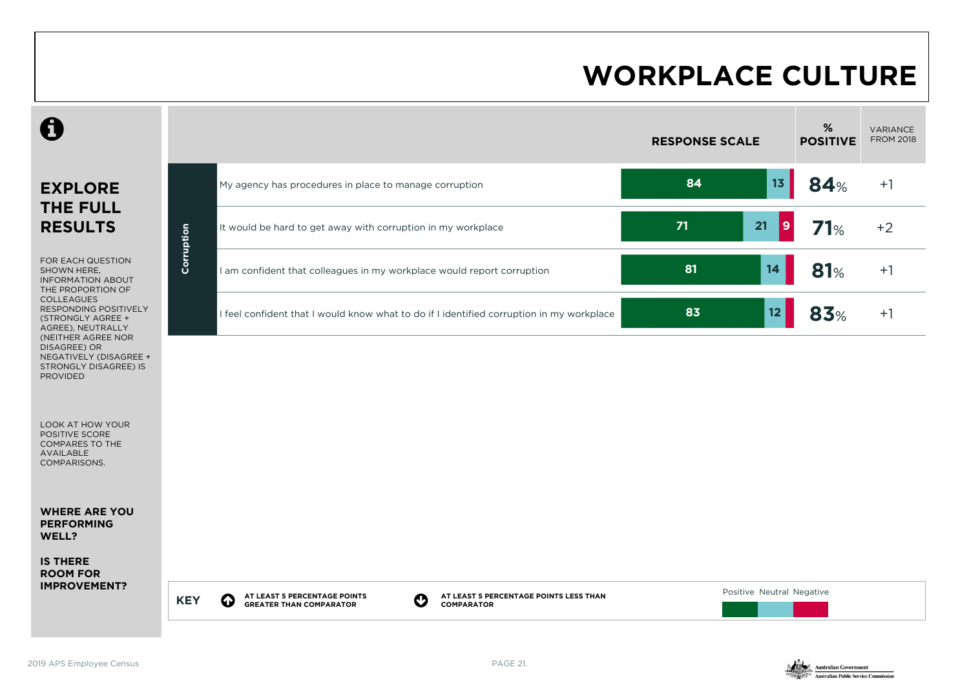

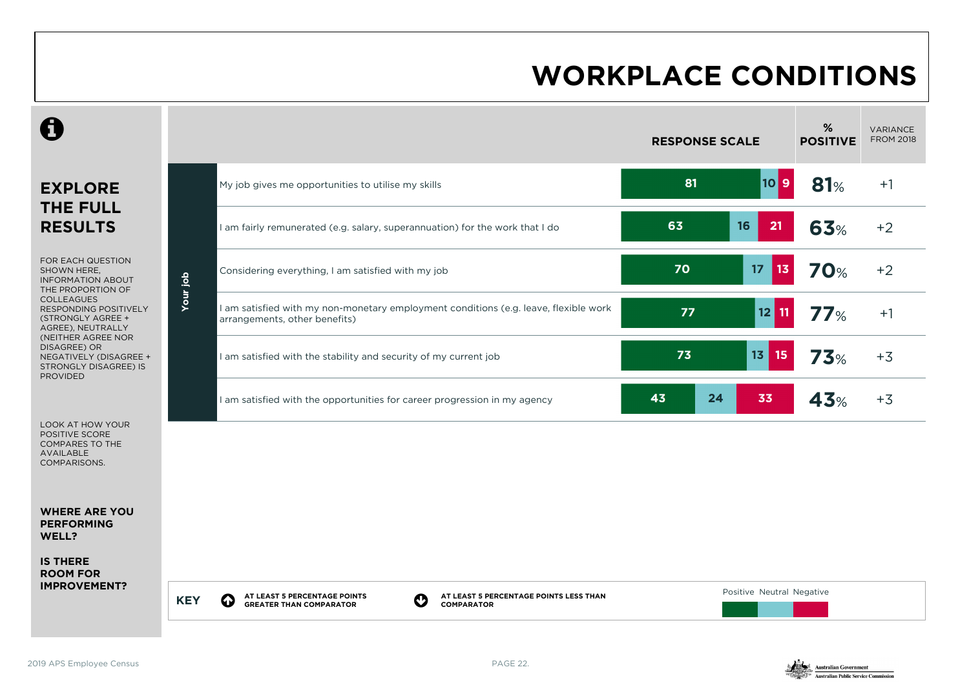#### **WORKPLACE CONDITIONS**

|                                                                                                                                                                                                         |            |                                                                                                                                                             | <b>RESPONSE SCALE</b> |                           | %<br><b>POSITIVE</b> | <b>VARIANCE</b><br><b>FROM 2018</b> |
|---------------------------------------------------------------------------------------------------------------------------------------------------------------------------------------------------------|------------|-------------------------------------------------------------------------------------------------------------------------------------------------------------|-----------------------|---------------------------|----------------------|-------------------------------------|
| <b>EXPLORE</b>                                                                                                                                                                                          |            | My job gives me opportunities to utilise my skills                                                                                                          | 81                    | $10$ 9                    | 81%                  | $+1$                                |
| <b>THE FULL</b><br><b>RESULTS</b>                                                                                                                                                                       |            | I am fairly remunerated (e.g. salary, superannuation) for the work that I do                                                                                | 63                    | 16<br>21                  | 63%                  | $+2$                                |
| FOR EACH QUESTION<br>SHOWN HERE,<br><b>INFORMATION ABOUT</b><br>THE PROPORTION OF                                                                                                                       |            | Considering everything, I am satisfied with my job                                                                                                          | 70                    | 17<br>13 <sub>1</sub>     | <b>70%</b>           | $+2$                                |
| <b>COLLEAGUES</b><br><b>RESPONDING POSITIVELY</b><br>(STRONGLY AGREE +<br>AGREE), NEUTRALLY<br>(NEITHER AGREE NOR<br>DISAGREE) OR<br>NEGATIVELY (DISAGREE +<br>STRONGLY DISAGREE) IS<br><b>PROVIDED</b> | Your job   | I am satisfied with my non-monetary employment conditions (e.g. leave, flexible work<br>arrangements, other benefits)                                       | 77                    | 12<br>11                  | 77%                  | $+1$                                |
|                                                                                                                                                                                                         |            | I am satisfied with the stability and security of my current job                                                                                            | 73                    | 13<br>15                  | <b>73%</b>           | $+3$                                |
|                                                                                                                                                                                                         |            | I am satisfied with the opportunities for career progression in my agency                                                                                   | 43<br>24              | 33                        | 43%                  | $+3$                                |
| LOOK AT HOW YOUR<br>POSITIVE SCORE<br><b>COMPARES TO THE</b><br><b>AVAILABLE</b><br>COMPARISONS.                                                                                                        |            |                                                                                                                                                             |                       |                           |                      |                                     |
| <b>WHERE ARE YOU</b><br><b>PERFORMING</b><br>WELL?                                                                                                                                                      |            |                                                                                                                                                             |                       |                           |                      |                                     |
| <b>IS THERE</b><br><b>ROOM FOR</b>                                                                                                                                                                      |            |                                                                                                                                                             |                       |                           |                      |                                     |
| <b>IMPROVEMENT?</b>                                                                                                                                                                                     | <b>KEY</b> | AT LEAST 5 PERCENTAGE POINTS LESS THAN<br>AT LEAST 5 PERCENTAGE POINTS<br>$\boldsymbol{\Omega}$<br>0<br><b>GREATER THAN COMPARATOR</b><br><b>COMPARATOR</b> |                       | Positive Neutral Negative |                      |                                     |

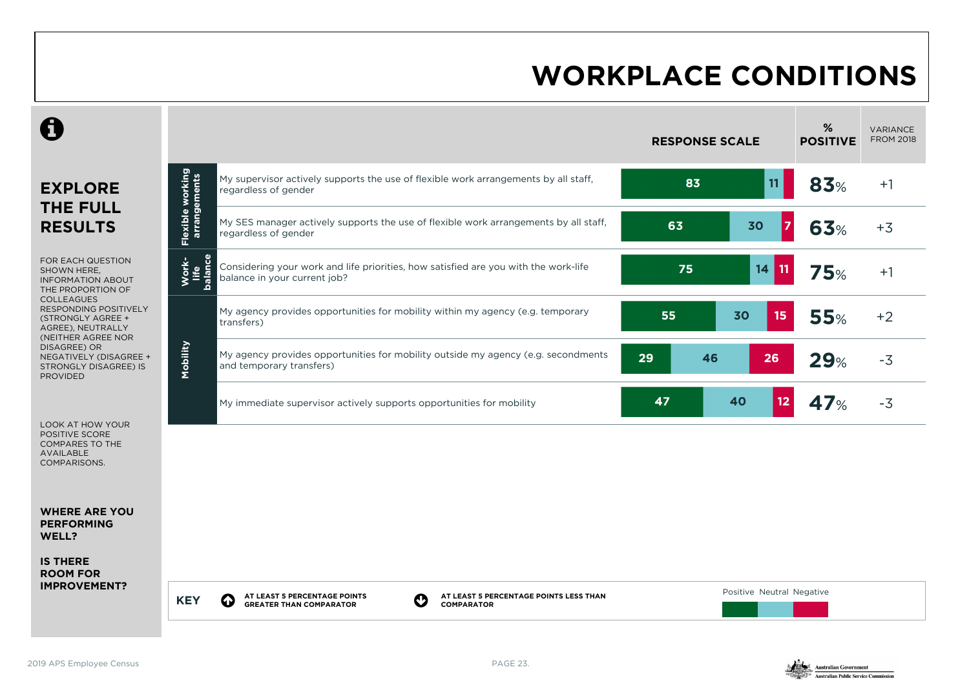### **WORKPLACE CONDITIONS**

|                                                                                                                   |                                  |                                                                                                                                                                         | <b>RESPONSE SCALE</b> |                           | %<br><b>POSITIVE</b> | <b>VARIANCE</b><br><b>FROM 2018</b> |
|-------------------------------------------------------------------------------------------------------------------|----------------------------------|-------------------------------------------------------------------------------------------------------------------------------------------------------------------------|-----------------------|---------------------------|----------------------|-------------------------------------|
| <b>EXPLORE</b><br><b>THE FULL</b>                                                                                 | Flexible working<br>arrangements | My supervisor actively supports the use of flexible work arrangements by all staff,<br>regardless of gender                                                             | 83                    | 11 <sub>1</sub>           | 83%                  | $+1$                                |
| <b>RESULTS</b>                                                                                                    |                                  | My SES manager actively supports the use of flexible work arrangements by all staff,<br>regardless of gender                                                            | 63                    | 30<br>$\overline{7}$      | <b>63%</b>           | $+3$                                |
| FOR EACH QUESTION<br>SHOWN HERE,<br><b>INFORMATION ABOUT</b><br>THE PROPORTION OF                                 | Work-<br>life<br>palance         | Considering your work and life priorities, how satisfied are you with the work-life<br>balance in your current job?                                                     | 75                    | 14<br>11                  | 75%                  | $+1$                                |
| <b>COLLEAGUES</b><br><b>RESPONDING POSITIVELY</b><br>(STRONGLY AGREE +<br>AGREE), NEUTRALLY<br>(NEITHER AGREE NOR |                                  | My agency provides opportunities for mobility within my agency (e.g. temporary<br>transfers)                                                                            | 55                    | 15<br>30                  | <b>55%</b>           | $+2$                                |
| DISAGREE) OR<br>NEGATIVELY (DISAGREE +<br><b>STRONGLY DISAGREE) IS</b><br><b>PROVIDED</b>                         | Mobility                         | My agency provides opportunities for mobility outside my agency (e.g. secondments<br>and temporary transfers)                                                           | 29<br>46              | 26                        | 29%                  | $-3$                                |
| <b>LOOK AT HOW YOUR</b>                                                                                           |                                  | My immediate supervisor actively supports opportunities for mobility                                                                                                    | 47                    | 40<br>12                  | 47%                  | $-3$                                |
| POSITIVE SCORE<br><b>COMPARES TO THE</b><br><b>AVAILABLE</b><br>COMPARISONS.                                      |                                  |                                                                                                                                                                         |                       |                           |                      |                                     |
| <b>WHERE ARE YOU</b><br><b>PERFORMING</b><br>WELL?                                                                |                                  |                                                                                                                                                                         |                       |                           |                      |                                     |
| <b>IS THERE</b><br><b>ROOM FOR</b><br><b>IMPROVEMENT?</b>                                                         |                                  |                                                                                                                                                                         |                       |                           |                      |                                     |
|                                                                                                                   | <b>KEY</b>                       | AT LEAST 5 PERCENTAGE POINTS<br>AT LEAST 5 PERCENTAGE POINTS LESS THAN<br>$\boldsymbol{\mathcal{O}}$<br>$\bf{Q}$<br><b>GREATER THAN COMPARATOR</b><br><b>COMPARATOR</b> |                       | Positive Neutral Negative |                      |                                     |

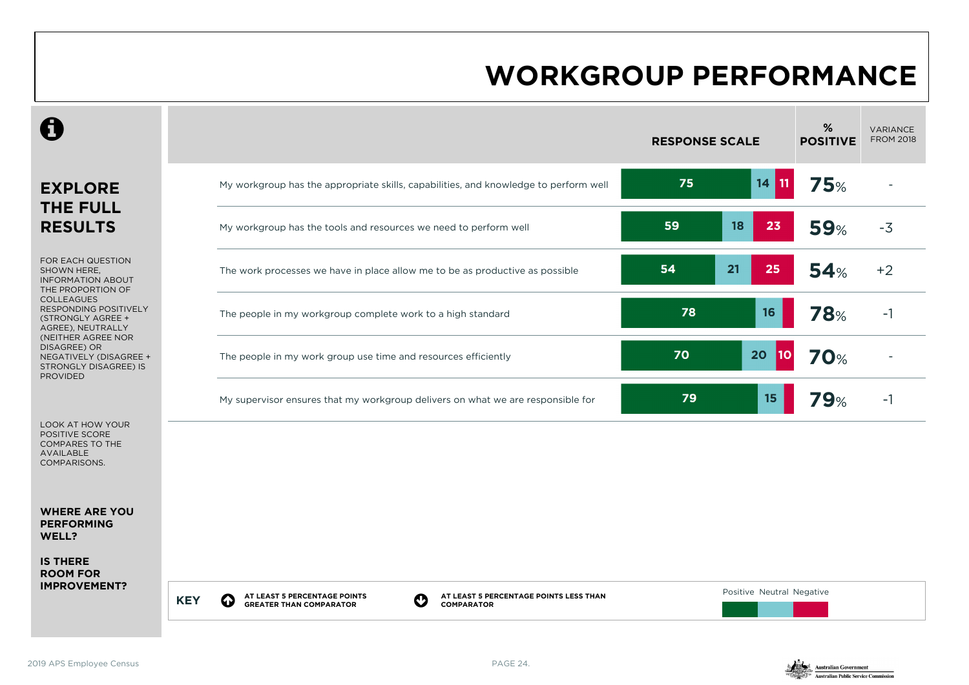### **WORKGROUP PERFORMANCE**

|                                                                                                          |                                                                                                                                                                        | <b>RESPONSE SCALE</b>       | %<br><b>POSITIVE</b> | <b>VARIANCE</b><br><b>FROM 2018</b> |
|----------------------------------------------------------------------------------------------------------|------------------------------------------------------------------------------------------------------------------------------------------------------------------------|-----------------------------|----------------------|-------------------------------------|
| <b>EXPLORE</b>                                                                                           | My workgroup has the appropriate skills, capabilities, and knowledge to perform well                                                                                   | 75<br>$14$ 11               | <b>75%</b>           |                                     |
| <b>THE FULL</b><br><b>RESULTS</b>                                                                        | My workgroup has the tools and resources we need to perform well                                                                                                       | 59<br>18<br>23              | <b>59%</b>           | $-3$                                |
| FOR EACH QUESTION<br>SHOWN HERE.<br><b>INFORMATION ABOUT</b><br>THE PROPORTION OF                        | The work processes we have in place allow me to be as productive as possible                                                                                           | 21<br>54<br>25              | 54%                  | $+2$                                |
| <b>COLLEAGUES</b><br><b>RESPONDING POSITIVELY</b><br>(STRONGLY AGREE +<br>AGREE), NEUTRALLY              | The people in my workgroup complete work to a high standard                                                                                                            | 78<br>16                    | <b>78%</b>           | $-1$                                |
| (NEITHER AGREE NOR<br>DISAGREE) OR<br>NEGATIVELY (DISAGREE +<br>STRONGLY DISAGREE) IS<br><b>PROVIDED</b> | The people in my work group use time and resources efficiently                                                                                                         | 70<br>20<br>10 <sub>1</sub> | <b>70%</b>           |                                     |
|                                                                                                          | My supervisor ensures that my workgroup delivers on what we are responsible for                                                                                        | 15 <sub>1</sub><br>79       | <b>79%</b>           | $-1$                                |
| <b>LOOK AT HOW YOUR</b><br>POSITIVE SCORE<br><b>COMPARES TO THE</b><br><b>AVAILABLE</b><br>COMPARISONS.  |                                                                                                                                                                        |                             |                      |                                     |
| <b>WHERE ARE YOU</b><br><b>PERFORMING</b><br>WELL?                                                       |                                                                                                                                                                        |                             |                      |                                     |
| <b>IS THERE</b><br><b>ROOM FOR</b>                                                                       |                                                                                                                                                                        |                             |                      |                                     |
| <b>IMPROVEMENT?</b>                                                                                      | AT LEAST 5 PERCENTAGE POINTS<br>AT LEAST 5 PERCENTAGE POINTS LESS THAN<br>$\bf{Q}$<br>$\mathbf O$<br><b>KEY</b><br><b>GREATER THAN COMPARATOR</b><br><b>COMPARATOR</b> | Positive Neutral Negative   |                      |                                     |

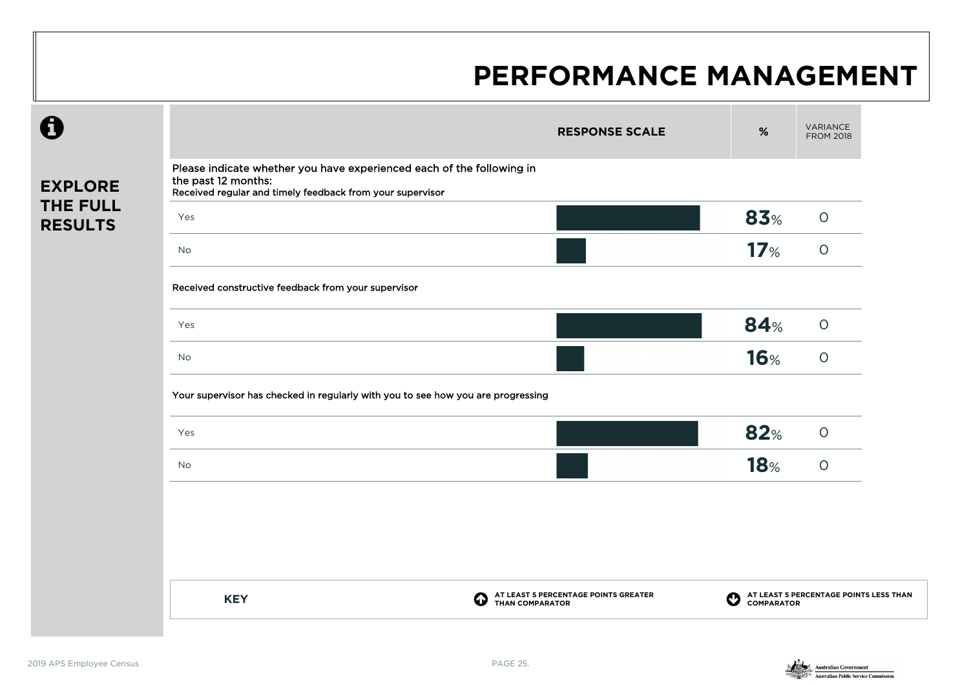|                            |                                                                                                                                                           | <b>RESPONSE SCALE</b>                                               | %                      | VARIANCE<br><b>FROM 2018</b>           |
|----------------------------|-----------------------------------------------------------------------------------------------------------------------------------------------------------|---------------------------------------------------------------------|------------------------|----------------------------------------|
| <b>EXPLORE</b>             | Please indicate whether you have experienced each of the following in<br>the past 12 months:<br>Received regular and timely feedback from your supervisor |                                                                     |                        |                                        |
| THE FULL<br><b>RESULTS</b> | Yes                                                                                                                                                       |                                                                     | 83%                    | $\bigcirc$                             |
|                            | <b>No</b>                                                                                                                                                 |                                                                     | 17 <sub>%</sub>        | $\circ$                                |
|                            | Received constructive feedback from your supervisor                                                                                                       |                                                                     |                        |                                        |
|                            | Yes                                                                                                                                                       |                                                                     | <b>84%</b>             | $\circ$                                |
|                            | <b>No</b>                                                                                                                                                 |                                                                     | <b>16%</b>             | $\circ$                                |
|                            | Your supervisor has checked in regularly with you to see how you are progressing                                                                          |                                                                     |                        |                                        |
|                            | Yes                                                                                                                                                       |                                                                     | 82%                    | $\circ$                                |
|                            | <b>No</b>                                                                                                                                                 |                                                                     | <b>18%</b>             | $\circ$                                |
|                            |                                                                                                                                                           |                                                                     |                        |                                        |
|                            |                                                                                                                                                           |                                                                     |                        |                                        |
|                            |                                                                                                                                                           |                                                                     |                        |                                        |
|                            | <b>KEY</b>                                                                                                                                                | AT LEAST 5 PERCENTAGE POINTS GREATER<br>Φ<br><b>THAN COMPARATOR</b> | O<br><b>COMPARATOR</b> | AT LEAST 5 PERCENTAGE POINTS LESS THAN |
|                            |                                                                                                                                                           |                                                                     |                        |                                        |

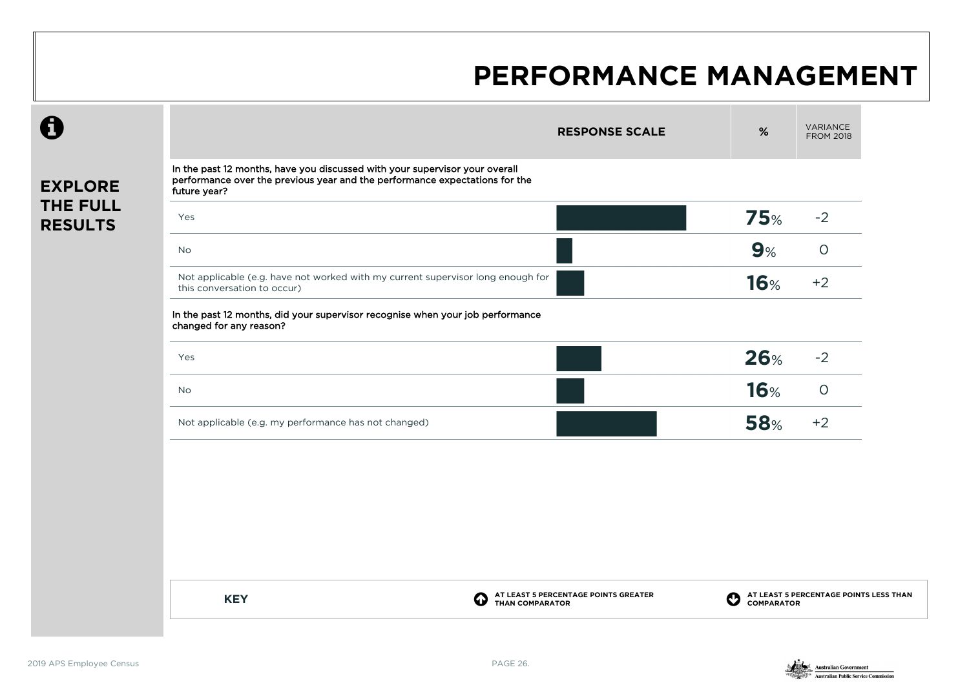|                                                                                                                                                                                              | <b>RESPONSE SCALE</b>                     | $\%$        | VARIANCE<br><b>FROM 2018</b>           |
|----------------------------------------------------------------------------------------------------------------------------------------------------------------------------------------------|-------------------------------------------|-------------|----------------------------------------|
| In the past 12 months, have you discussed with your supervisor your overall<br>performance over the previous year and the performance expectations for the<br><b>EXPLORE</b><br>future year? |                                           |             |                                        |
| <b>THE FULL</b><br>Yes<br><b>RESULTS</b>                                                                                                                                                     |                                           | <b>75%</b>  | $-2$                                   |
| No                                                                                                                                                                                           |                                           | 9%          | $\circ$                                |
| Not applicable (e.g. have not worked with my current supervisor long enough for<br>this conversation to occur)                                                                               |                                           | <b>16%</b>  | $+2$                                   |
| In the past 12 months, did your supervisor recognise when your job performance<br>changed for any reason?                                                                                    |                                           |             |                                        |
| Yes                                                                                                                                                                                          |                                           | 26%         | $-2$                                   |
| No                                                                                                                                                                                           |                                           | <b>16%</b>  | $\circ$                                |
| Not applicable (e.g. my performance has not changed)                                                                                                                                         |                                           | <b>58%</b>  | $+2$                                   |
|                                                                                                                                                                                              |                                           |             |                                        |
|                                                                                                                                                                                              |                                           |             |                                        |
|                                                                                                                                                                                              |                                           |             |                                        |
| <b>KEY</b>                                                                                                                                                                                   | AT LEAST 5 PERCENTAGE POINTS GREATER<br>➊ | $\mathbf O$ | AT LEAST 5 PERCENTAGE POINTS LESS THAN |

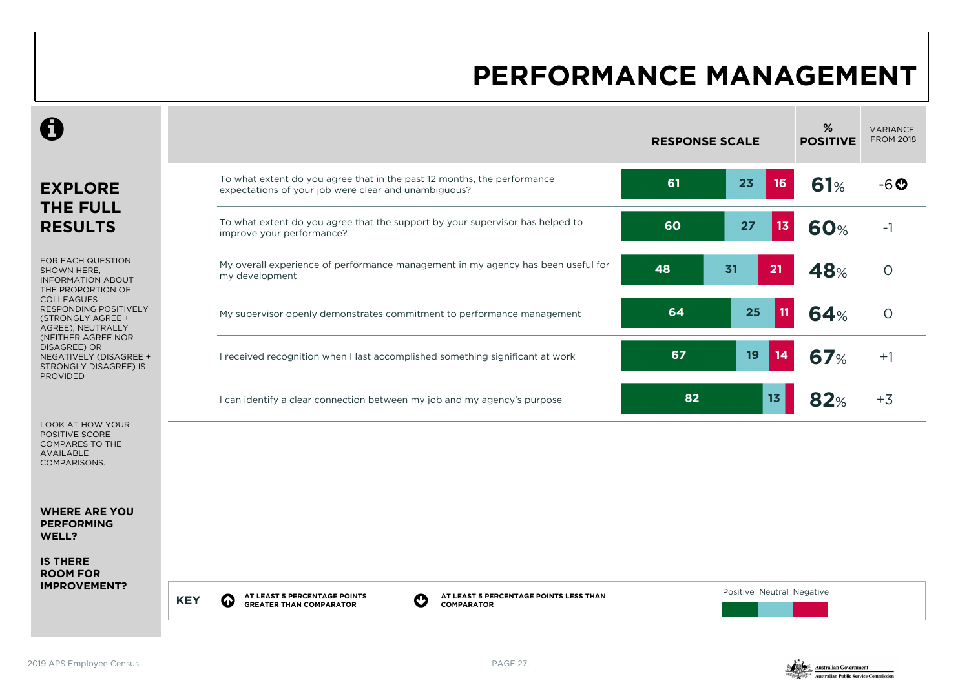|                                                                                                          |                                                                                                                                                              | <b>RESPONSE SCALE</b> |                           | %<br><b>POSITIVE</b> | <b>VARIANCE</b><br><b>FROM 2018</b> |
|----------------------------------------------------------------------------------------------------------|--------------------------------------------------------------------------------------------------------------------------------------------------------------|-----------------------|---------------------------|----------------------|-------------------------------------|
| <b>EXPLORE</b><br><b>THE FULL</b>                                                                        | To what extent do you agree that in the past 12 months, the performance<br>expectations of your job were clear and unambiguous?                              | 61                    | 23<br>16                  | 61%                  | $-6o$                               |
| <b>RESULTS</b>                                                                                           | To what extent do you agree that the support by your supervisor has helped to<br>improve your performance?                                                   | 60                    | 27<br>13                  | <b>60%</b>           | $-1$                                |
| FOR EACH QUESTION<br>SHOWN HERE.<br><b>INFORMATION ABOUT</b><br>THE PROPORTION OF                        | My overall experience of performance management in my agency has been useful for<br>my development                                                           | 48                    | 31<br>21                  | 48%                  | $\Omega$                            |
| <b>COLLEAGUES</b><br><b>RESPONDING POSITIVELY</b><br>(STRONGLY AGREE +<br>AGREE), NEUTRALLY              | My supervisor openly demonstrates commitment to performance management                                                                                       | 64                    | 25<br>11                  | 64%                  | $\circ$                             |
| (NEITHER AGREE NOR<br>DISAGREE) OR<br>NEGATIVELY (DISAGREE +<br>STRONGLY DISAGREE) IS<br><b>PROVIDED</b> | I received recognition when I last accomplished something significant at work                                                                                | 67                    | 19<br>14                  | 67%                  | $+1$                                |
|                                                                                                          | I can identify a clear connection between my job and my agency's purpose                                                                                     | 82                    | 13                        | 82%                  | $+3$                                |
| LOOK AT HOW YOUR<br>POSITIVE SCORE<br>COMPARES TO THE<br><b>AVAILABLE</b><br><b>COMPARISONS.</b>         |                                                                                                                                                              |                       |                           |                      |                                     |
| <b>WHERE ARE YOU</b><br><b>PERFORMING</b><br>WELL?                                                       |                                                                                                                                                              |                       |                           |                      |                                     |
| <b>IS THERE</b><br><b>ROOM FOR</b>                                                                       |                                                                                                                                                              |                       |                           |                      |                                     |
| <b>IMPROVEMENT?</b>                                                                                      | AT LEAST 5 PERCENTAGE POINTS<br>AT LEAST 5 PERCENTAGE POINTS LESS THAN<br>O<br>$\bf{Q}$<br><b>KEY</b><br><b>GREATER THAN COMPARATOR</b><br><b>COMPARATOR</b> |                       | Positive Neutral Negative |                      |                                     |

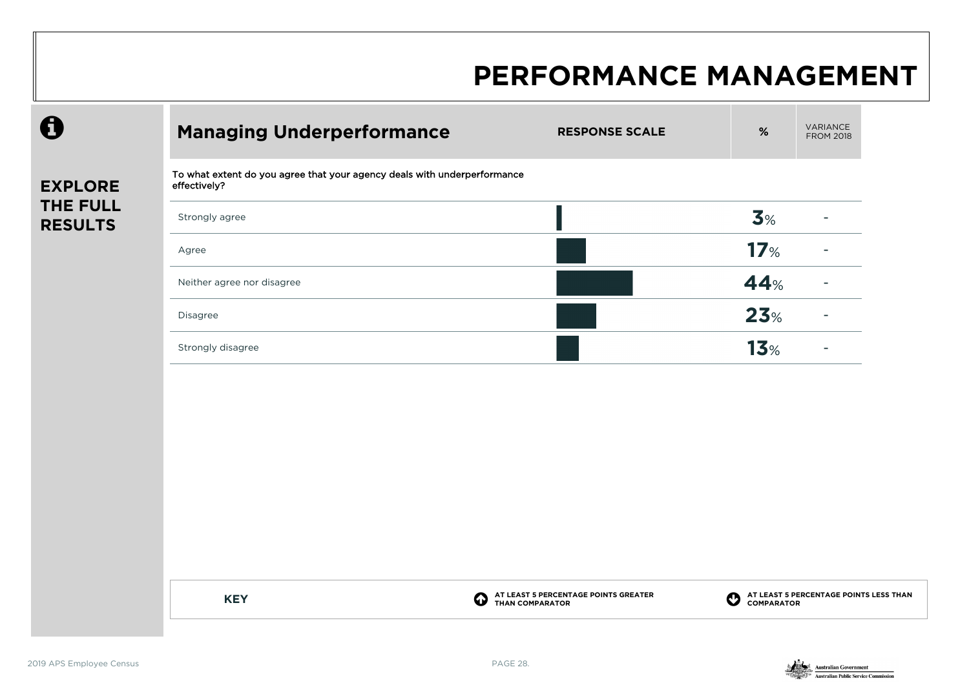| To what extent do you agree that your agency deals with underperformance<br>effectively?<br>3%<br>Strongly agree<br>17 <sub>%</sub><br>Agree<br>44%<br>Neither agree nor disagree<br>23%<br>Disagree<br>13 <sub>%</sub><br>Strongly disagree | <b>Managing Underperformance</b> | <b>RESPONSE SCALE</b>                                                  | $\%$                                                                          | <b>FROM 2018</b> |
|----------------------------------------------------------------------------------------------------------------------------------------------------------------------------------------------------------------------------------------------|----------------------------------|------------------------------------------------------------------------|-------------------------------------------------------------------------------|------------------|
|                                                                                                                                                                                                                                              |                                  |                                                                        |                                                                               |                  |
|                                                                                                                                                                                                                                              |                                  |                                                                        |                                                                               |                  |
|                                                                                                                                                                                                                                              |                                  |                                                                        |                                                                               |                  |
|                                                                                                                                                                                                                                              |                                  |                                                                        |                                                                               |                  |
|                                                                                                                                                                                                                                              |                                  |                                                                        |                                                                               |                  |
|                                                                                                                                                                                                                                              |                                  |                                                                        |                                                                               |                  |
|                                                                                                                                                                                                                                              |                                  |                                                                        |                                                                               |                  |
|                                                                                                                                                                                                                                              |                                  |                                                                        |                                                                               |                  |
|                                                                                                                                                                                                                                              |                                  |                                                                        |                                                                               |                  |
|                                                                                                                                                                                                                                              |                                  |                                                                        |                                                                               |                  |
|                                                                                                                                                                                                                                              |                                  |                                                                        |                                                                               |                  |
|                                                                                                                                                                                                                                              |                                  |                                                                        |                                                                               |                  |
|                                                                                                                                                                                                                                              | <b>KEY</b>                       | AT LEAST 5 PERCENTAGE POINTS GREATER<br>THAN COMPARATOR<br>$\mathbf Q$ | AT LEAST 5 PERCENTAGE POINTS LESS THAN<br>COMPARATOR<br>$\boldsymbol{\Theta}$ |                  |

 $\boldsymbol{\Theta}$ 

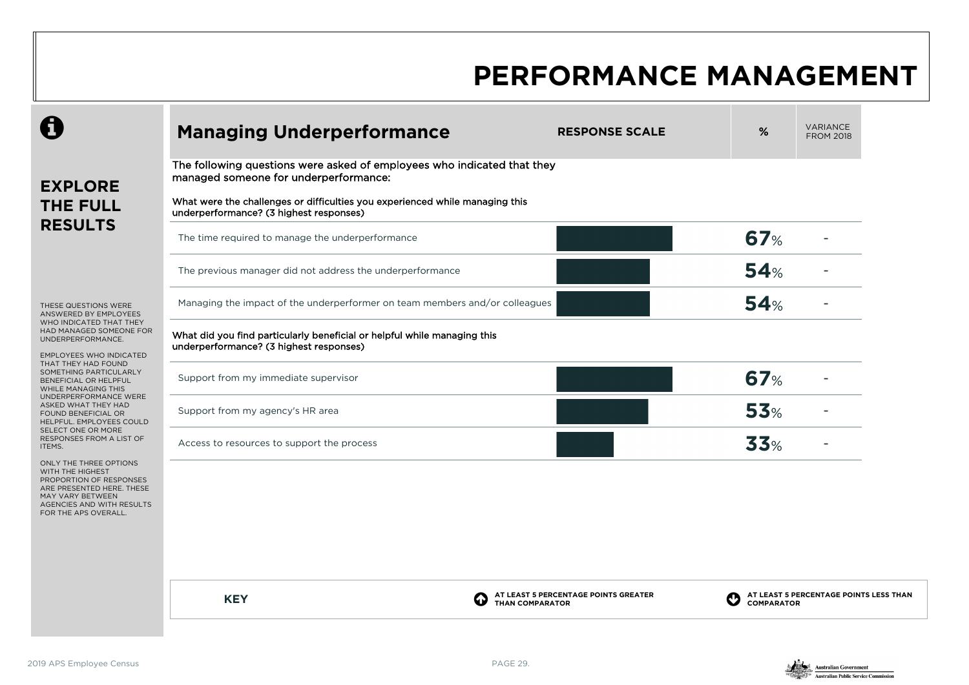|                                                                                                                                                                             | <b>Managing Underperformance</b>                                                                                                                                                                                                            | <b>RESPONSE SCALE</b>                                          | %                 | <b>VARIANCE</b><br><b>FROM 2018</b>    |
|-----------------------------------------------------------------------------------------------------------------------------------------------------------------------------|---------------------------------------------------------------------------------------------------------------------------------------------------------------------------------------------------------------------------------------------|----------------------------------------------------------------|-------------------|----------------------------------------|
| <b>EXPLORE</b><br><b>THE FULL</b>                                                                                                                                           | The following questions were asked of employees who indicated that they<br>managed someone for underperformance:<br>What were the challenges or difficulties you experienced while managing this<br>underperformance? (3 highest responses) |                                                                |                   |                                        |
| <b>RESULTS</b>                                                                                                                                                              | The time required to manage the underperformance                                                                                                                                                                                            |                                                                | 67%               |                                        |
|                                                                                                                                                                             | The previous manager did not address the underperformance                                                                                                                                                                                   |                                                                | 54%               |                                        |
| THESE QUESTIONS WERE<br>ANSWERED BY EMPLOYEES                                                                                                                               | Managing the impact of the underperformer on team members and/or colleagues                                                                                                                                                                 |                                                                | 54%               |                                        |
| WHO INDICATED THAT THEY<br>HAD MANAGED SOMEONE FOR<br>UNDERPERFORMANCE.<br><b>EMPLOYEES WHO INDICATED</b>                                                                   | What did you find particularly beneficial or helpful while managing this<br>underperformance? (3 highest responses)                                                                                                                         |                                                                |                   |                                        |
| THAT THEY HAD FOUND<br>SOMETHING PARTICULARLY<br>BENEFICIAL OR HELPFUL<br>WHILE MANAGING THIS                                                                               | Support from my immediate supervisor                                                                                                                                                                                                        |                                                                | <b>67%</b>        |                                        |
| UNDERPERFORMANCE WERE<br>ASKED WHAT THEY HAD<br>FOUND BENEFICIAL OR<br>HELPFUL. EMPLOYEES COULD                                                                             | Support from my agency's HR area                                                                                                                                                                                                            |                                                                | 53%               |                                        |
| SELECT ONE OR MORE<br>RESPONSES FROM A LIST OF<br>ITEMS.                                                                                                                    | Access to resources to support the process                                                                                                                                                                                                  |                                                                | 33%               |                                        |
| ONLY THE THREE OPTIONS<br>WITH THE HIGHEST<br>PROPORTION OF RESPONSES<br>ARE PRESENTED HERE. THESE<br>MAY VARY BETWEEN<br>AGENCIES AND WITH RESULTS<br>FOR THE APS OVERALL. |                                                                                                                                                                                                                                             |                                                                |                   |                                        |
|                                                                                                                                                                             | <b>KEY</b>                                                                                                                                                                                                                                  | AT LEAST 5 PERCENTAGE POINTS GREATER<br><b>THAN COMPARATOR</b> | <b>COMPARATOR</b> | AT LEAST 5 PERCENTAGE POINTS LESS THAN |
|                                                                                                                                                                             |                                                                                                                                                                                                                                             |                                                                |                   |                                        |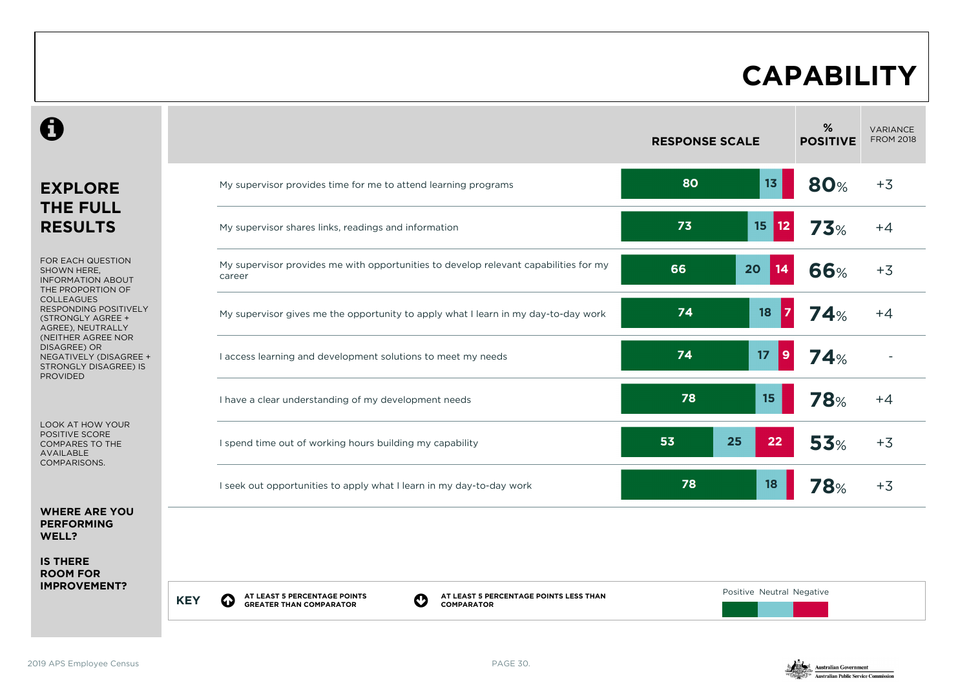### **CAPABILITY**

|                                                                                                          |                                                                                                                                             | <b>RESPONSE SCALE</b>      | $\%$<br><b>POSITIVE</b> | <b>VARIANCE</b><br><b>FROM 2018</b> |
|----------------------------------------------------------------------------------------------------------|---------------------------------------------------------------------------------------------------------------------------------------------|----------------------------|-------------------------|-------------------------------------|
| <b>EXPLORE</b>                                                                                           | My supervisor provides time for me to attend learning programs                                                                              | 80<br>13 <sub>1</sub>      | <b>80%</b>              | $+3$                                |
| <b>THE FULL</b><br><b>RESULTS</b>                                                                        | My supervisor shares links, readings and information                                                                                        | 73<br>15<br>12             | 73%                     | $+4$                                |
| FOR EACH QUESTION<br>SHOWN HERE,<br><b>INFORMATION ABOUT</b><br>THE PROPORTION OF                        | My supervisor provides me with opportunities to develop relevant capabilities for my<br>career                                              | 66<br>20<br>14             | <b>66%</b>              | $+3$                                |
| <b>COLLEAGUES</b><br><b>RESPONDING POSITIVELY</b><br>(STRONGLY AGREE +<br>AGREE), NEUTRALLY              | My supervisor gives me the opportunity to apply what I learn in my day-to-day work                                                          | 74<br>18<br>$\overline{7}$ | 74%                     | $+4$                                |
| (NEITHER AGREE NOR<br>DISAGREE) OR<br>NEGATIVELY (DISAGREE +<br>STRONGLY DISAGREE) IS<br><b>PROVIDED</b> | I access learning and development solutions to meet my needs                                                                                | 74<br>17<br>9              | 74%                     |                                     |
|                                                                                                          | I have a clear understanding of my development needs                                                                                        | 78<br>15                   | <b>78%</b>              | $+4$                                |
| <b>LOOK AT HOW YOUR</b><br>POSITIVE SCORE<br><b>COMPARES TO THE</b><br><b>AVAILABLE</b><br>COMPARISONS.  | I spend time out of working hours building my capability                                                                                    | 53<br>25<br>22             | <b>53%</b>              | $+3$                                |
|                                                                                                          | I seek out opportunities to apply what I learn in my day-to-day work                                                                        | 78<br>18                   | 78%                     | $+3$                                |
| <b>WHERE ARE YOU</b><br><b>PERFORMING</b><br>WELL?                                                       |                                                                                                                                             |                            |                         |                                     |
| <b>IS THERE</b><br><b>ROOM FOR</b>                                                                       |                                                                                                                                             |                            |                         |                                     |
| <b>IMPROVEMENT?</b>                                                                                      | AT LEAST 5 PERCENTAGE POINTS<br>AT LEAST 5 PERCENTAGE POINTS LESS THAN<br><b>KEY</b><br><b>GREATER THAN COMPARATOR</b><br><b>COMPARATOR</b> | Positive Neutral Negative  |                         |                                     |

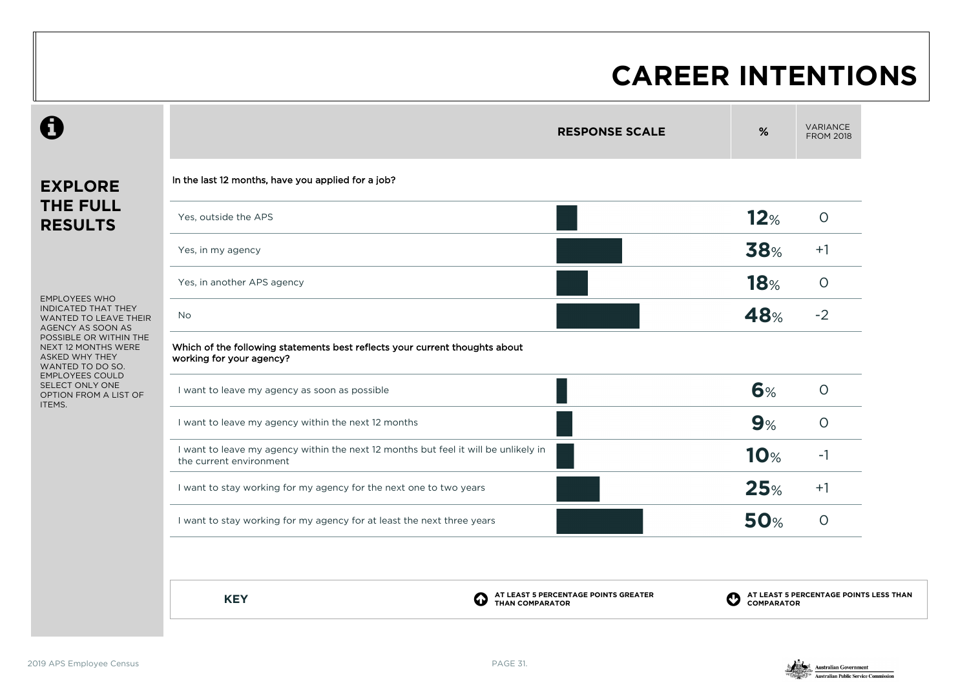### **CAREER INTENTIONS**

### **EXPLORE THE FULL RESULTS**

 $\boldsymbol{\theta}$ 

EMPLOYEES WHO INDICATED THAT THEY WANTED TO LEAVE THEIR AGENCY AS SOON AS POSSIBLE OR WITHIN THE NEXT 12 MONTHS WERE ASKED WHY THEY WANTED TO DO SO. EMPLOYEES COULD SELECT ONLY ONE OPTION FROM A LIST OF ITEMS.

| <b>RESPONSE SCALE</b> | %                                                                                   | <b>VARIANCE</b><br><b>FROM 2018</b> |
|-----------------------|-------------------------------------------------------------------------------------|-------------------------------------|
|                       |                                                                                     |                                     |
|                       | 12%                                                                                 | $\circ$                             |
|                       | <b>38%</b>                                                                          | $+1$                                |
|                       | <b>18%</b>                                                                          | $\circ$                             |
|                       | 48%                                                                                 | $-2$                                |
|                       |                                                                                     |                                     |
|                       | 6%                                                                                  | $\circ$                             |
|                       | 9%                                                                                  | $\circ$                             |
|                       | <b>10%</b>                                                                          | $-1$                                |
|                       | 25%                                                                                 | $+1$                                |
|                       | <b>50%</b>                                                                          | $\circ$                             |
|                       | I want to leave my agency within the next 12 months but feel it will be unlikely in |                                     |

**KEY C** 

**AT LEAST 5 PERCENTAGE POINTS GREATER THAN COMPARATOR** 

**AT LEAST 5 PERCENTAGE POINTS LESS THAN COMPARATOR**

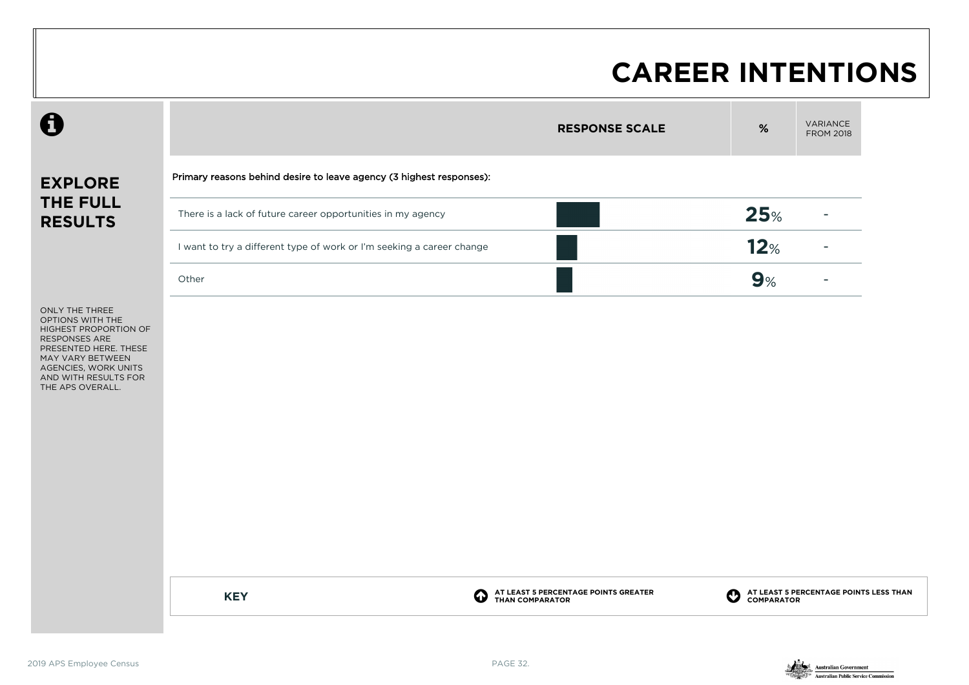#### **CAREER INTENTIONS**

|                                                                                                                                                                                                      |                                                                       | <b>RESPONSE SCALE</b>                                                              | $\%$ | VARIANCE<br><b>FROM 2018</b>                         |
|------------------------------------------------------------------------------------------------------------------------------------------------------------------------------------------------------|-----------------------------------------------------------------------|------------------------------------------------------------------------------------|------|------------------------------------------------------|
| <b>EXPLORE</b>                                                                                                                                                                                       | Primary reasons behind desire to leave agency (3 highest responses):  |                                                                                    |      |                                                      |
| THE FULL<br><b>RESULTS</b>                                                                                                                                                                           | There is a lack of future career opportunities in my agency           |                                                                                    | 25%  |                                                      |
|                                                                                                                                                                                                      | I want to try a different type of work or I'm seeking a career change |                                                                                    | 12%  |                                                      |
|                                                                                                                                                                                                      | Other                                                                 |                                                                                    | 9%   |                                                      |
| ONLY THE THREE<br>OPTIONS WITH THE<br>HIGHEST PROPORTION OF<br><b>RESPONSES ARE</b><br>PRESENTED HERE. THESE<br>MAY VARY BETWEEN<br>AGENCIES, WORK UNITS<br>AND WITH RESULTS FOR<br>THE APS OVERALL. |                                                                       |                                                                                    |      |                                                      |
|                                                                                                                                                                                                      | <b>KEY</b>                                                            | AT LEAST 5 PERCENTAGE POINTS GREATER<br>THAN COMPARATOR<br>$\mathbf C$<br>$\bf{Q}$ |      | AT LEAST 5 PERCENTAGE POINTS LESS THAN<br>COMPARATOR |
|                                                                                                                                                                                                      |                                                                       |                                                                                    |      |                                                      |

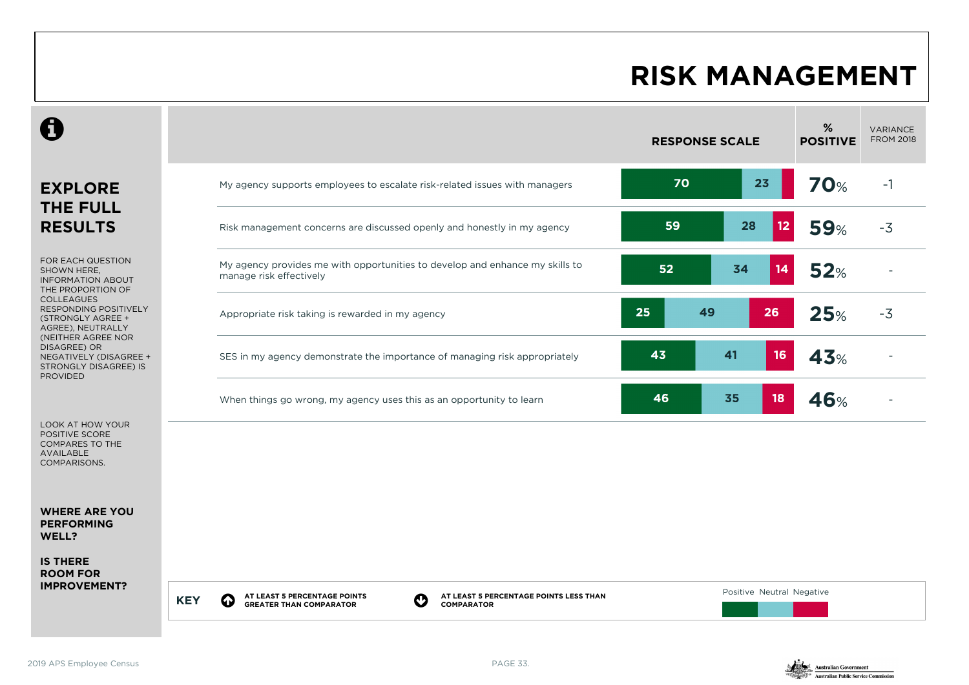#### **RISK MANAGEMENT**

|                                                                                                            | <b>RESPONSE SCALE</b>                                                                                                                                                                                  | %<br><b>POSITIVE</b> | VARIANCE<br><b>FROM 2018</b> |
|------------------------------------------------------------------------------------------------------------|--------------------------------------------------------------------------------------------------------------------------------------------------------------------------------------------------------|----------------------|------------------------------|
| <b>EXPLORE</b><br><b>THE FULL</b>                                                                          | 70<br>23<br>My agency supports employees to escalate risk-related issues with managers                                                                                                                 | <b>70%</b>           | $-1$                         |
| <b>RESULTS</b>                                                                                             | 28<br>59<br>Risk management concerns are discussed openly and honestly in my agency                                                                                                                    | 12<br><b>59%</b>     | $-3$                         |
| FOR EACH QUESTION<br>SHOWN HERE.<br><b>INFORMATION ABOUT</b><br>THE PROPORTION OF                          | My agency provides me with opportunities to develop and enhance my skills to<br>52<br>34<br>14<br>manage risk effectively                                                                              | 52%                  |                              |
| <b>COLLEAGUES</b><br>RESPONDING POSITIVELY<br>(STRONGLY AGREE +<br>AGREE), NEUTRALLY<br>(NEITHER AGREE NOR | 25<br>49<br>26<br>Appropriate risk taking is rewarded in my agency                                                                                                                                     | 25%                  | $-3$                         |
| DISAGREE) OR<br>NEGATIVELY (DISAGREE +<br>STRONGLY DISAGREE) IS<br><b>PROVIDED</b>                         | 16<br>43<br>41<br>SES in my agency demonstrate the importance of managing risk appropriately                                                                                                           | 43%                  |                              |
|                                                                                                            | 46<br>35<br>18<br>When things go wrong, my agency uses this as an opportunity to learn                                                                                                                 | <b>46%</b>           |                              |
| LOOK AT HOW YOUR<br>POSITIVE SCORE<br><b>COMPARES TO THE</b><br><b>AVAILABLE</b><br>COMPARISONS.           |                                                                                                                                                                                                        |                      |                              |
| <b>WHERE ARE YOU</b><br><b>PERFORMING</b><br>WELL?                                                         |                                                                                                                                                                                                        |                      |                              |
| <b>IS THERE</b><br><b>ROOM FOR</b>                                                                         |                                                                                                                                                                                                        |                      |                              |
| <b>IMPROVEMENT?</b>                                                                                        | Positive Neutral Negative<br>AT LEAST 5 PERCENTAGE POINTS LESS THAN<br>AT LEAST 5 PERCENTAGE POINTS<br>$\boldsymbol{\Omega}$<br>O<br><b>KEY</b><br><b>GREATER THAN COMPARATOR</b><br><b>COMPARATOR</b> |                      |                              |

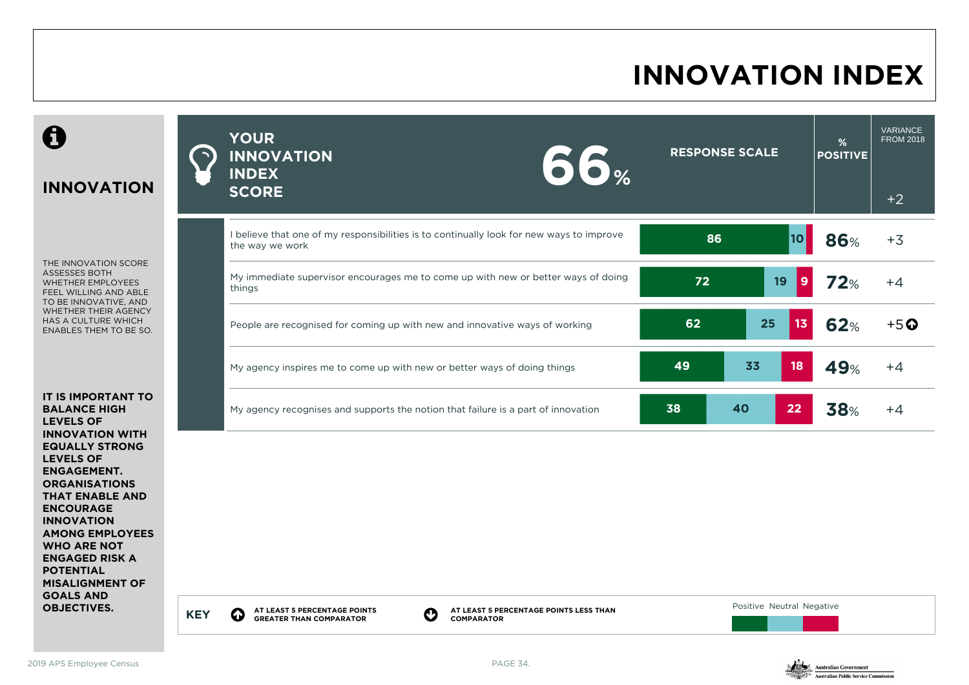## **INNOVATION INDEX**



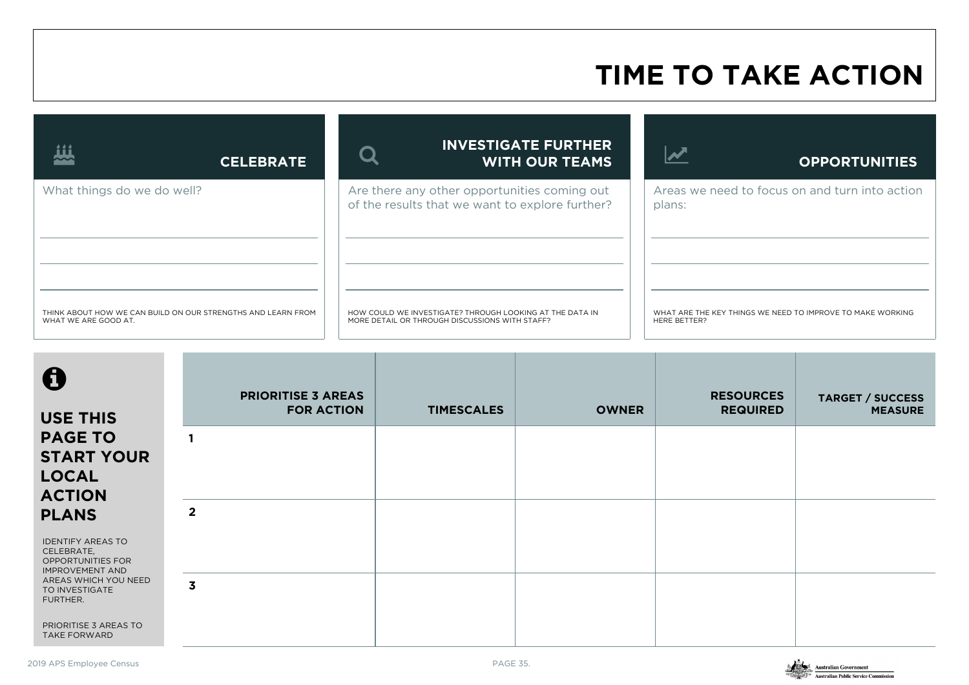#### **TIME TO TAKE ACTION**

| <u>iii</u><br><b>CELEBRATE</b>                                                       | <b>INVESTIGATE FURTHER</b><br><b>WITH OUR TEAMS</b>                                                        | <b>OPPORTUNITIES</b>                                                       |
|--------------------------------------------------------------------------------------|------------------------------------------------------------------------------------------------------------|----------------------------------------------------------------------------|
| What things do we do well?                                                           | Are there any other opportunities coming out<br>of the results that we want to explore further?            | Areas we need to focus on and turn into action<br>plans:                   |
| THINK ABOUT HOW WE CAN BUILD ON OUR STRENGTHS AND LEARN FROM<br>WHAT WE ARE GOOD AT. | HOW COULD WE INVESTIGATE? THROUGH LOOKING AT THE DATA IN<br>MORE DETAIL OR THROUGH DISCUSSIONS WITH STAFF? | WHAT ARE THE KEY THINGS WE NEED TO IMPROVE TO MAKE WORKING<br>HERE BETTER? |

| 0<br><b>USE THIS</b>                                                                                  | <b>PRIORITISE 3 AREAS</b><br><b>FOR ACTION</b> | <b>TIMESCALES</b> | <b>OWNER</b> | <b>RESOURCES</b><br><b>REQUIRED</b> | <b>TARGET / SUCCESS</b><br><b>MEASURE</b> |
|-------------------------------------------------------------------------------------------------------|------------------------------------------------|-------------------|--------------|-------------------------------------|-------------------------------------------|
| <b>PAGE TO</b><br><b>START YOUR</b><br><b>LOCAL</b><br><b>ACTION</b>                                  |                                                |                   |              |                                     |                                           |
| <b>PLANS</b><br><b>IDENTIFY AREAS TO</b><br>CELEBRATE,<br>OPPORTUNITIES FOR<br><b>IMPROVEMENT AND</b> | $\overline{2}$                                 |                   |              |                                     |                                           |
| AREAS WHICH YOU NEED<br>TO INVESTIGATE<br>FURTHER.<br>PRIORITISE 3 AREAS TO<br><b>TAKE FORWARD</b>    | $\overline{\mathbf{3}}$                        |                   |              |                                     |                                           |